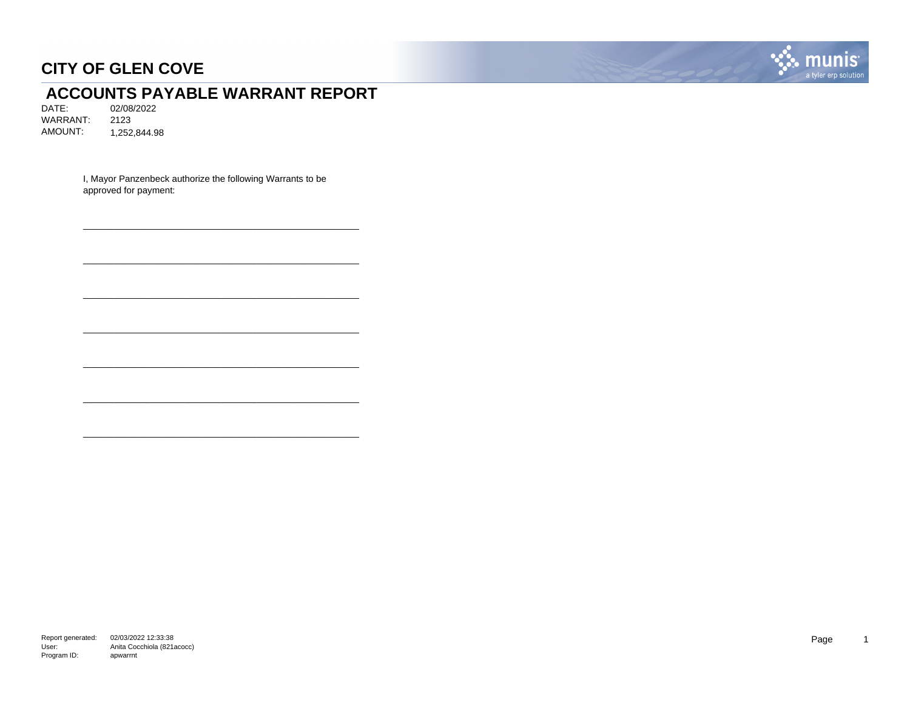

# **ACCOUNTS PAYABLE WARRANT REPORT**<br>DATE: 02/08/2022

02/08/2022 WARRANT: 2123 AMOUNT: 1,252,844.98

> I, Mayor Panzenbeck authorize the following Warrants to be approved for payment:

\_\_\_\_\_\_\_\_\_\_\_\_\_\_\_\_\_\_\_\_\_\_\_\_\_\_\_\_\_\_\_\_\_\_\_\_\_\_\_\_\_\_\_\_\_\_\_\_\_\_\_\_\_\_

\_\_\_\_\_\_\_\_\_\_\_\_\_\_\_\_\_\_\_\_\_\_\_\_\_\_\_\_\_\_\_\_\_\_\_\_\_\_\_\_\_\_\_\_\_\_\_\_\_\_\_\_\_\_

\_\_\_\_\_\_\_\_\_\_\_\_\_\_\_\_\_\_\_\_\_\_\_\_\_\_\_\_\_\_\_\_\_\_\_\_\_\_\_\_\_\_\_\_\_\_\_\_\_\_\_\_\_\_

\_\_\_\_\_\_\_\_\_\_\_\_\_\_\_\_\_\_\_\_\_\_\_\_\_\_\_\_\_\_\_\_\_\_\_\_\_\_\_\_\_\_\_\_\_\_\_\_\_\_\_\_\_\_

\_\_\_\_\_\_\_\_\_\_\_\_\_\_\_\_\_\_\_\_\_\_\_\_\_\_\_\_\_\_\_\_\_\_\_\_\_\_\_\_\_\_\_\_\_\_\_\_\_\_\_\_\_\_

\_\_\_\_\_\_\_\_\_\_\_\_\_\_\_\_\_\_\_\_\_\_\_\_\_\_\_\_\_\_\_\_\_\_\_\_\_\_\_\_\_\_\_\_\_\_\_\_\_\_\_\_\_\_

\_\_\_\_\_\_\_\_\_\_\_\_\_\_\_\_\_\_\_\_\_\_\_\_\_\_\_\_\_\_\_\_\_\_\_\_\_\_\_\_\_\_\_\_\_\_\_\_\_\_\_\_\_\_

Report generated: 02/03/2022 12:33:38 User: Program ID: Anita Cocchiola (821acocc) apwarrnt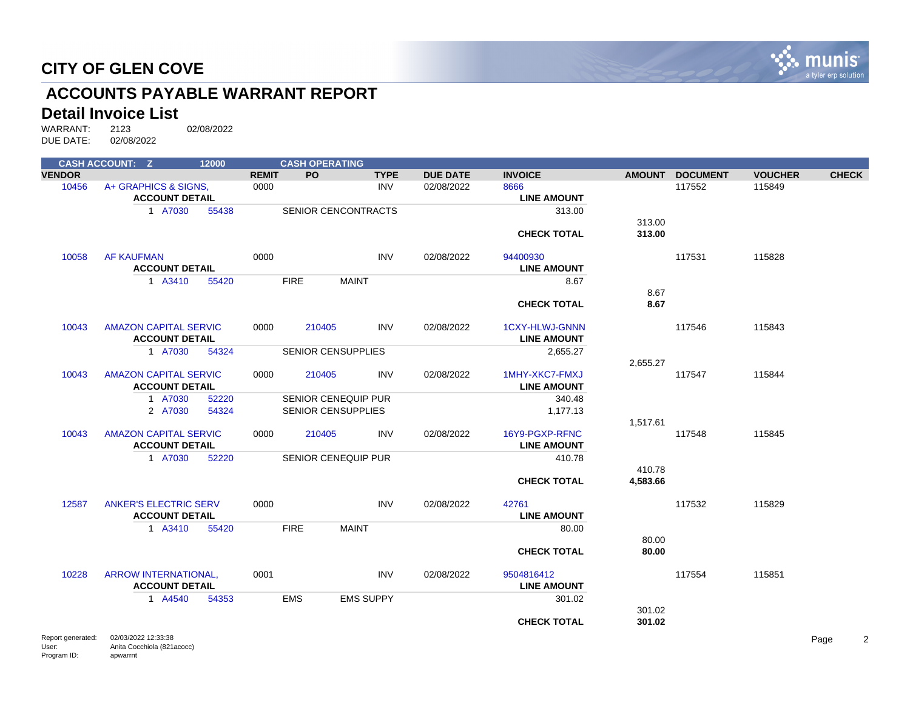

# **ACCOUNTS PAYABLE WARRANT REPORT**

#### **Detail Invoice List**

Program ID:

apwarrnt

|                            | <b>CASH ACCOUNT: Z</b>                                | 12000 |              | <b>CASH OPERATING</b> |                            |                 |                                             |                    |                 |                |                          |
|----------------------------|-------------------------------------------------------|-------|--------------|-----------------------|----------------------------|-----------------|---------------------------------------------|--------------------|-----------------|----------------|--------------------------|
| <b>VENDOR</b>              |                                                       |       | <b>REMIT</b> | <b>PO</b>             | <b>TYPE</b>                | <b>DUE DATE</b> | <b>INVOICE</b>                              |                    | AMOUNT DOCUMENT | <b>VOUCHER</b> | <b>CHECK</b>             |
| 10456                      | A+ GRAPHICS & SIGNS,                                  |       | 0000         |                       | <b>INV</b>                 | 02/08/2022      | 8666                                        |                    | 117552          | 115849         |                          |
|                            | <b>ACCOUNT DETAIL</b>                                 |       |              |                       |                            |                 | <b>LINE AMOUNT</b>                          |                    |                 |                |                          |
|                            | 1 A7030                                               | 55438 |              |                       | <b>SENIOR CENCONTRACTS</b> |                 | 313.00                                      | 313.00             |                 |                |                          |
|                            |                                                       |       |              |                       |                            |                 | <b>CHECK TOTAL</b>                          | 313.00             |                 |                |                          |
| 10058                      | <b>AF KAUFMAN</b><br><b>ACCOUNT DETAIL</b>            |       | 0000         |                       | <b>INV</b>                 | 02/08/2022      | 94400930<br><b>LINE AMOUNT</b>              |                    | 117531          | 115828         |                          |
|                            | 1 A3410                                               | 55420 |              | <b>FIRE</b>           | <b>MAINT</b>               |                 | 8.67                                        |                    |                 |                |                          |
|                            |                                                       |       |              |                       |                            |                 | <b>CHECK TOTAL</b>                          | 8.67<br>8.67       |                 |                |                          |
| 10043                      | <b>AMAZON CAPITAL SERVIC</b><br><b>ACCOUNT DETAIL</b> |       | 0000         | 210405                | <b>INV</b>                 | 02/08/2022      | <b>1CXY-HLWJ-GNNN</b><br><b>LINE AMOUNT</b> |                    | 117546          | 115843         |                          |
|                            | 1 A7030                                               | 54324 |              |                       | <b>SENIOR CENSUPPLIES</b>  |                 | 2,655.27                                    |                    |                 |                |                          |
| 10043                      | <b>AMAZON CAPITAL SERVIC</b><br><b>ACCOUNT DETAIL</b> |       | 0000         | 210405                | <b>INV</b>                 | 02/08/2022      | 1MHY-XKC7-FMXJ<br><b>LINE AMOUNT</b>        | 2,655.27           | 117547          | 115844         |                          |
|                            | 1 A7030                                               | 52220 |              |                       | <b>SENIOR CENEQUIP PUR</b> |                 | 340.48                                      |                    |                 |                |                          |
|                            | 2 A7030                                               | 54324 |              |                       | <b>SENIOR CENSUPPLIES</b>  |                 | 1,177.13                                    | 1,517.61           |                 |                |                          |
| 10043                      | <b>AMAZON CAPITAL SERVIC</b><br><b>ACCOUNT DETAIL</b> |       | 0000         | 210405                | <b>INV</b>                 | 02/08/2022      | 16Y9-PGXP-RFNC<br><b>LINE AMOUNT</b>        |                    | 117548          | 115845         |                          |
|                            | 1 A7030                                               | 52220 |              |                       | <b>SENIOR CENEQUIP PUR</b> |                 | 410.78                                      |                    |                 |                |                          |
|                            |                                                       |       |              |                       |                            |                 | <b>CHECK TOTAL</b>                          | 410.78<br>4,583.66 |                 |                |                          |
| 12587                      | <b>ANKER'S ELECTRIC SERV</b><br><b>ACCOUNT DETAIL</b> |       | 0000         |                       | <b>INV</b>                 | 02/08/2022      | 42761<br><b>LINE AMOUNT</b>                 |                    | 117532          | 115829         |                          |
|                            | 1 A3410                                               | 55420 |              | <b>FIRE</b>           | <b>MAINT</b>               |                 | 80.00                                       |                    |                 |                |                          |
|                            |                                                       |       |              |                       |                            |                 | <b>CHECK TOTAL</b>                          | 80.00<br>80.00     |                 |                |                          |
| 10228                      | <b>ARROW INTERNATIONAL.</b><br><b>ACCOUNT DETAIL</b>  |       | 0001         |                       | <b>INV</b>                 | 02/08/2022      | 9504816412<br><b>LINE AMOUNT</b>            |                    | 117554          | 115851         |                          |
|                            | 1 A4540                                               | 54353 |              | <b>EMS</b>            | <b>EMS SUPPY</b>           |                 | 301.02                                      |                    |                 |                |                          |
|                            |                                                       |       |              |                       |                            |                 | <b>CHECK TOTAL</b>                          | 301.02<br>301.02   |                 |                |                          |
| Report generated:<br>User: | 02/03/2022 12:33:38<br>Anita Cocchiola (821acocc)     |       |              |                       |                            |                 |                                             |                    |                 |                | $\boldsymbol{2}$<br>Page |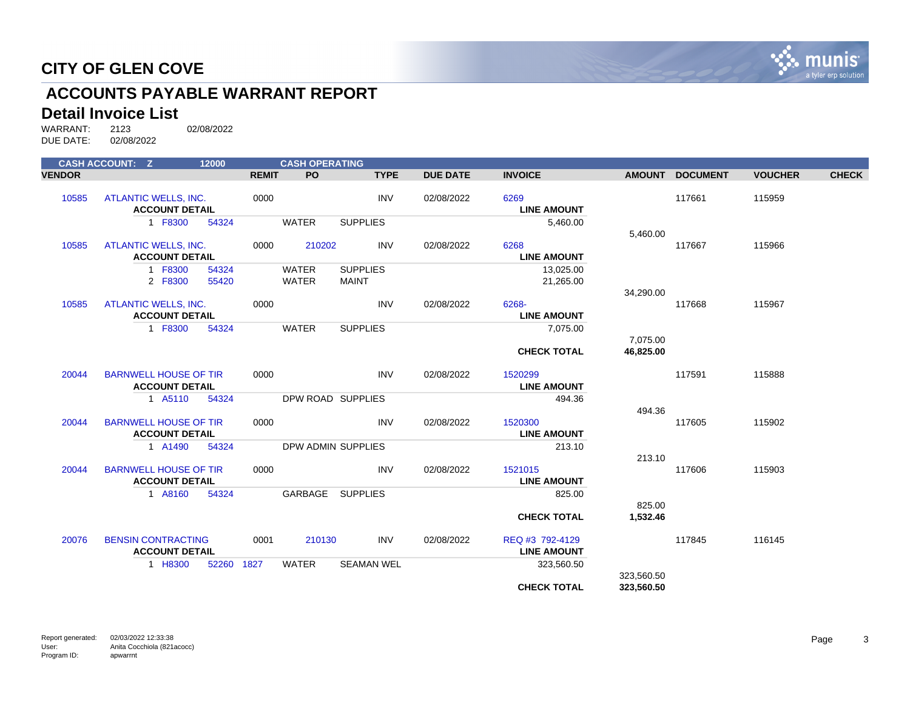

# **ACCOUNTS PAYABLE WARRANT REPORT**

#### **Detail Invoice List**

|               | <b>CASH ACCOUNT: Z</b>                                | 12000          |              | <b>CASH OPERATING</b>        |                                 |                 |                                       |               |                 |                |              |
|---------------|-------------------------------------------------------|----------------|--------------|------------------------------|---------------------------------|-----------------|---------------------------------------|---------------|-----------------|----------------|--------------|
| <b>VENDOR</b> |                                                       |                | <b>REMIT</b> | <b>PO</b>                    | <b>TYPE</b>                     | <b>DUE DATE</b> | <b>INVOICE</b>                        | <b>AMOUNT</b> | <b>DOCUMENT</b> | <b>VOUCHER</b> | <b>CHECK</b> |
| 10585         | <b>ATLANTIC WELLS, INC.</b><br><b>ACCOUNT DETAIL</b>  |                | 0000         |                              | <b>INV</b>                      | 02/08/2022      | 6269<br><b>LINE AMOUNT</b>            |               | 117661          | 115959         |              |
|               | 1 F8300                                               | 54324          |              | <b>WATER</b>                 | <b>SUPPLIES</b>                 |                 | 5,460.00                              | 5,460.00      |                 |                |              |
| 10585         | <b>ATLANTIC WELLS, INC.</b><br><b>ACCOUNT DETAIL</b>  |                | 0000         | 210202                       | <b>INV</b>                      | 02/08/2022      | 6268<br><b>LINE AMOUNT</b>            |               | 117667          | 115966         |              |
|               | 1 F8300<br>2 F8300                                    | 54324<br>55420 |              | <b>WATER</b><br><b>WATER</b> | <b>SUPPLIES</b><br><b>MAINT</b> |                 | 13,025.00<br>21,265.00                |               |                 |                |              |
| 10585         | <b>ATLANTIC WELLS, INC.</b><br><b>ACCOUNT DETAIL</b>  |                | 0000         |                              | <b>INV</b>                      | 02/08/2022      | 6268-<br><b>LINE AMOUNT</b>           | 34,290.00     | 117668          | 115967         |              |
|               | 1 F8300                                               | 54324          |              | <b>WATER</b>                 | <b>SUPPLIES</b>                 |                 | 7,075.00                              | 7,075.00      |                 |                |              |
| 20044         | <b>BARNWELL HOUSE OF TIR</b>                          |                | 0000         |                              | <b>INV</b>                      | 02/08/2022      | <b>CHECK TOTAL</b><br>1520299         | 46,825.00     | 117591          | 115888         |              |
|               | <b>ACCOUNT DETAIL</b>                                 |                |              |                              |                                 |                 | <b>LINE AMOUNT</b>                    |               |                 |                |              |
|               | 1 A5110                                               | 54324          |              |                              | DPW ROAD SUPPLIES               |                 | 494.36                                | 494.36        |                 |                |              |
| 20044         | <b>BARNWELL HOUSE OF TIR</b><br><b>ACCOUNT DETAIL</b> |                | 0000         |                              | <b>INV</b>                      | 02/08/2022      | 1520300<br><b>LINE AMOUNT</b>         |               | 117605          | 115902         |              |
|               | 1 A1490                                               | 54324          |              |                              | DPW ADMIN SUPPLIES              |                 | 213.10                                | 213.10        |                 |                |              |
| 20044         | <b>BARNWELL HOUSE OF TIR</b><br><b>ACCOUNT DETAIL</b> |                | 0000         |                              | <b>INV</b>                      | 02/08/2022      | 1521015<br><b>LINE AMOUNT</b>         |               | 117606          | 115903         |              |
|               | 1 A8160                                               | 54324          |              | GARBAGE                      | <b>SUPPLIES</b>                 |                 | 825.00                                | 825.00        |                 |                |              |
|               |                                                       |                |              |                              |                                 |                 | <b>CHECK TOTAL</b>                    | 1,532.46      |                 |                |              |
| 20076         | <b>BENSIN CONTRACTING</b><br><b>ACCOUNT DETAIL</b>    |                | 0001         | 210130                       | <b>INV</b>                      | 02/08/2022      | REQ #3 792-4129<br><b>LINE AMOUNT</b> |               | 117845          | 116145         |              |
|               | 1 H8300                                               | 52260          | 1827         | <b>WATER</b>                 | <b>SEAMAN WEL</b>               |                 | 323,560.50                            | 323,560.50    |                 |                |              |
|               |                                                       |                |              |                              |                                 |                 | <b>CHECK TOTAL</b>                    | 323,560.50    |                 |                |              |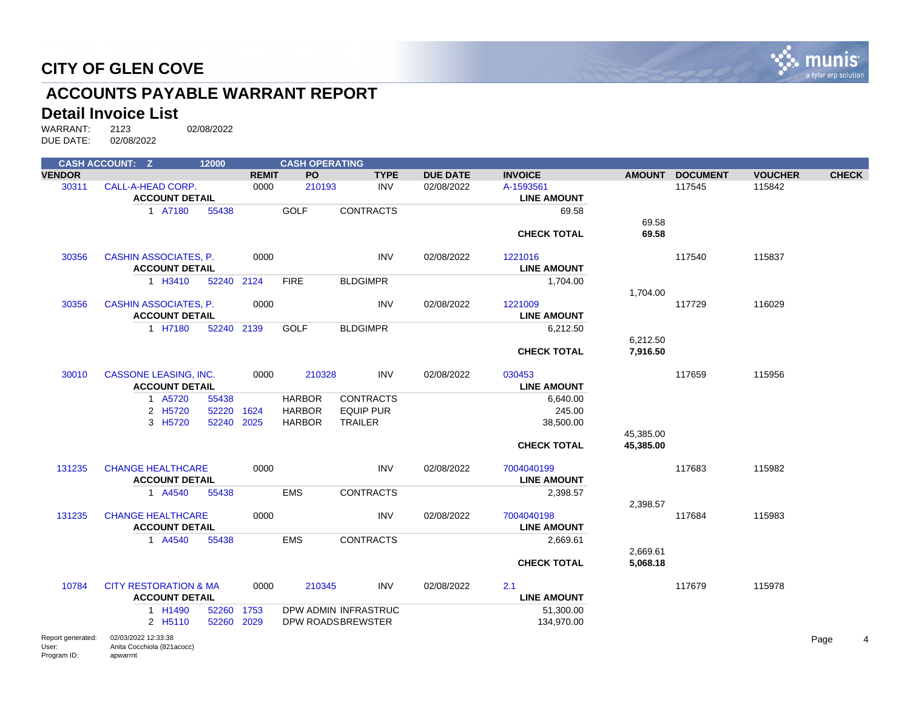

# **ACCOUNTS PAYABLE WARRANT REPORT**

#### **Detail Invoice List**

|                   | <b>CASH ACCOUNT: Z</b>                            | 12000      |              | <b>CASH OPERATING</b> |                      |                 |                    |           |                 |                |              |
|-------------------|---------------------------------------------------|------------|--------------|-----------------------|----------------------|-----------------|--------------------|-----------|-----------------|----------------|--------------|
| <b>VENDOR</b>     |                                                   |            | <b>REMIT</b> | PO                    | <b>TYPE</b>          | <b>DUE DATE</b> | <b>INVOICE</b>     |           | AMOUNT DOCUMENT | <b>VOUCHER</b> | <b>CHECK</b> |
| 30311             | CALL-A-HEAD CORP.                                 |            | 0000         | 210193                | <b>INV</b>           | 02/08/2022      | A-1593561          |           | 117545          | 115842         |              |
|                   | <b>ACCOUNT DETAIL</b>                             |            |              |                       |                      |                 | <b>LINE AMOUNT</b> |           |                 |                |              |
|                   | 1 A7180                                           | 55438      |              | <b>GOLF</b>           | <b>CONTRACTS</b>     |                 | 69.58              |           |                 |                |              |
|                   |                                                   |            |              |                       |                      |                 |                    | 69.58     |                 |                |              |
|                   |                                                   |            |              |                       |                      |                 | <b>CHECK TOTAL</b> | 69.58     |                 |                |              |
| 30356             | CASHIN ASSOCIATES, P.                             |            | 0000         |                       | <b>INV</b>           | 02/08/2022      | 1221016            |           | 117540          | 115837         |              |
|                   | <b>ACCOUNT DETAIL</b>                             |            |              |                       |                      |                 | <b>LINE AMOUNT</b> |           |                 |                |              |
|                   | 1 H3410                                           | 52240 2124 |              | <b>FIRE</b>           | <b>BLDGIMPR</b>      |                 | 1,704.00           |           |                 |                |              |
|                   |                                                   |            |              |                       |                      |                 |                    | 1,704.00  |                 |                |              |
| 30356             | CASHIN ASSOCIATES, P.                             |            | 0000         |                       | <b>INV</b>           | 02/08/2022      | 1221009            |           | 117729          | 116029         |              |
|                   | <b>ACCOUNT DETAIL</b>                             |            |              |                       |                      |                 | <b>LINE AMOUNT</b> |           |                 |                |              |
|                   | 1 H7180                                           | 52240 2139 |              | <b>GOLF</b>           | <b>BLDGIMPR</b>      |                 | 6,212.50           |           |                 |                |              |
|                   |                                                   |            |              |                       |                      |                 |                    | 6,212.50  |                 |                |              |
|                   |                                                   |            |              |                       |                      |                 | <b>CHECK TOTAL</b> | 7,916.50  |                 |                |              |
| 30010             | <b>CASSONE LEASING, INC.</b>                      |            | 0000         | 210328                | <b>INV</b>           | 02/08/2022      | 030453             |           | 117659          | 115956         |              |
|                   | <b>ACCOUNT DETAIL</b>                             |            |              |                       |                      |                 | <b>LINE AMOUNT</b> |           |                 |                |              |
|                   | 1 A5720                                           | 55438      |              | <b>HARBOR</b>         | <b>CONTRACTS</b>     |                 | 6,640.00           |           |                 |                |              |
|                   | 2 H5720                                           | 52220 1624 |              | <b>HARBOR</b>         | <b>EQUIP PUR</b>     |                 | 245.00             |           |                 |                |              |
|                   | 3 H5720                                           | 52240      | 2025         | <b>HARBOR</b>         | <b>TRAILER</b>       |                 | 38,500.00          |           |                 |                |              |
|                   |                                                   |            |              |                       |                      |                 |                    | 45,385.00 |                 |                |              |
|                   |                                                   |            |              |                       |                      |                 | <b>CHECK TOTAL</b> | 45,385.00 |                 |                |              |
| 131235            | <b>CHANGE HEALTHCARE</b>                          |            | 0000         |                       | <b>INV</b>           | 02/08/2022      | 7004040199         |           | 117683          | 115982         |              |
|                   | <b>ACCOUNT DETAIL</b>                             |            |              |                       |                      |                 | <b>LINE AMOUNT</b> |           |                 |                |              |
|                   | 1 A4540                                           | 55438      |              | <b>EMS</b>            | <b>CONTRACTS</b>     |                 | 2,398.57           |           |                 |                |              |
|                   |                                                   |            |              |                       |                      |                 |                    | 2,398.57  |                 |                |              |
| 131235            | <b>CHANGE HEALTHCARE</b>                          |            | 0000         |                       | <b>INV</b>           | 02/08/2022      | 7004040198         |           | 117684          | 115983         |              |
|                   | <b>ACCOUNT DETAIL</b>                             |            |              |                       |                      |                 | <b>LINE AMOUNT</b> |           |                 |                |              |
|                   | 1 A4540                                           | 55438      |              | <b>EMS</b>            | <b>CONTRACTS</b>     |                 | 2,669.61           |           |                 |                |              |
|                   |                                                   |            |              |                       |                      |                 |                    | 2,669.61  |                 |                |              |
|                   |                                                   |            |              |                       |                      |                 | <b>CHECK TOTAL</b> | 5,068.18  |                 |                |              |
| 10784             | <b>CITY RESTORATION &amp; MA</b>                  |            | 0000         | 210345                | <b>INV</b>           | 02/08/2022      | 2.1                |           | 117679          | 115978         |              |
|                   | <b>ACCOUNT DETAIL</b>                             |            |              |                       |                      |                 | <b>LINE AMOUNT</b> |           |                 |                |              |
|                   | 1 H1490                                           | 52260 1753 |              |                       | DPW ADMIN INFRASTRUC |                 | 51,300.00          |           |                 |                |              |
|                   | 2 H5110                                           | 52260 2029 |              |                       | DPW ROADSBREWSTER    |                 | 134,970.00         |           |                 |                |              |
| Report generated: | 02/03/2022 12:33:38<br>Anita Coophiale (00100000) |            |              |                       |                      |                 |                    |           |                 |                | Page         |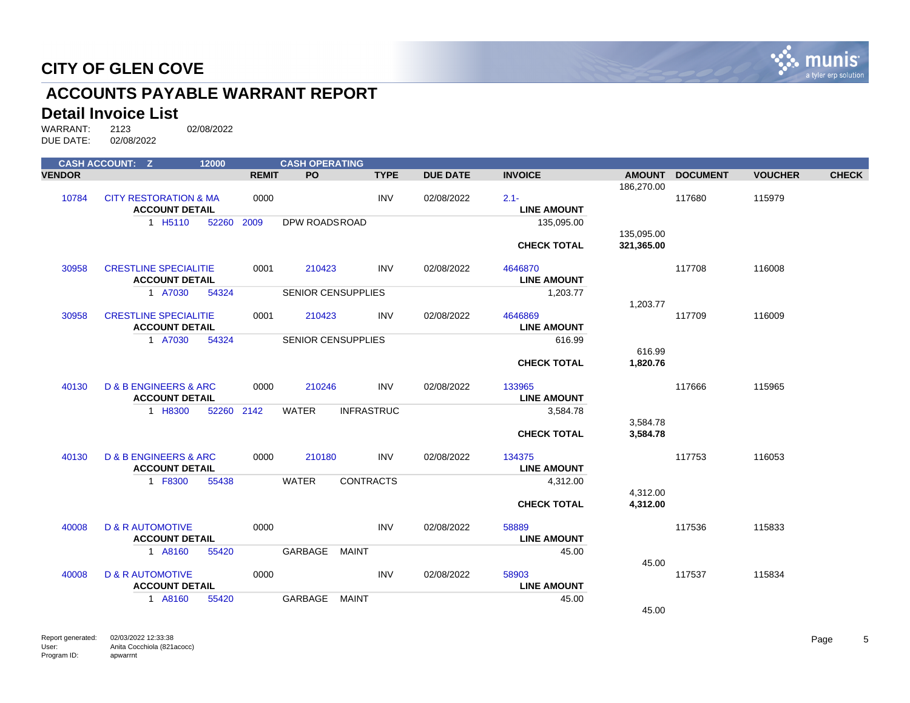

# **ACCOUNTS PAYABLE WARRANT REPORT**

#### **Detail Invoice List**

|               | <b>CASH ACCOUNT: Z</b>               | 12000      |              | <b>CASH OPERATING</b>     |                   |                 |                    |               |                 |                |              |
|---------------|--------------------------------------|------------|--------------|---------------------------|-------------------|-----------------|--------------------|---------------|-----------------|----------------|--------------|
| <b>VENDOR</b> |                                      |            | <b>REMIT</b> | PO.                       | <b>TYPE</b>       | <b>DUE DATE</b> | <b>INVOICE</b>     | <b>AMOUNT</b> | <b>DOCUMENT</b> | <b>VOUCHER</b> | <b>CHECK</b> |
|               |                                      |            |              |                           |                   |                 |                    | 186,270.00    |                 |                |              |
| 10784         | <b>CITY RESTORATION &amp; MA</b>     |            | 0000         |                           | <b>INV</b>        | 02/08/2022      | $2.1 -$            |               | 117680          | 115979         |              |
|               | <b>ACCOUNT DETAIL</b>                |            |              |                           |                   |                 | <b>LINE AMOUNT</b> |               |                 |                |              |
|               | 1 H <sub>5</sub> 110                 | 52260      | 2009         | <b>DPW ROADSROAD</b>      |                   |                 | 135,095.00         |               |                 |                |              |
|               |                                      |            |              |                           |                   |                 |                    | 135,095.00    |                 |                |              |
|               |                                      |            |              |                           |                   |                 | <b>CHECK TOTAL</b> | 321,365.00    |                 |                |              |
| 30958         | <b>CRESTLINE SPECIALITIE</b>         |            | 0001         | 210423                    | <b>INV</b>        | 02/08/2022      | 4646870            |               | 117708          | 116008         |              |
|               | <b>ACCOUNT DETAIL</b>                |            |              |                           |                   |                 | <b>LINE AMOUNT</b> |               |                 |                |              |
|               | 1 A7030                              | 54324      |              | <b>SENIOR CENSUPPLIES</b> |                   |                 | 1,203.77           |               |                 |                |              |
|               |                                      |            |              |                           |                   |                 |                    | 1,203.77      |                 |                |              |
| 30958         | <b>CRESTLINE SPECIALITIE</b>         |            | 0001         | 210423                    | <b>INV</b>        | 02/08/2022      | 4646869            |               | 117709          | 116009         |              |
|               | <b>ACCOUNT DETAIL</b>                |            |              |                           |                   |                 | <b>LINE AMOUNT</b> |               |                 |                |              |
|               | 1 A7030                              | 54324      |              | <b>SENIOR CENSUPPLIES</b> |                   |                 | 616.99             |               |                 |                |              |
|               |                                      |            |              |                           |                   |                 |                    | 616.99        |                 |                |              |
|               |                                      |            |              |                           |                   |                 | <b>CHECK TOTAL</b> | 1,820.76      |                 |                |              |
| 40130         | <b>D &amp; B ENGINEERS &amp; ARC</b> |            | 0000         | 210246                    | <b>INV</b>        | 02/08/2022      | 133965             |               | 117666          | 115965         |              |
|               | <b>ACCOUNT DETAIL</b>                |            |              |                           |                   |                 | <b>LINE AMOUNT</b> |               |                 |                |              |
|               | 1 H8300                              | 52260 2142 |              | <b>WATER</b>              | <b>INFRASTRUC</b> |                 | 3,584.78           |               |                 |                |              |
|               |                                      |            |              |                           |                   |                 |                    | 3,584.78      |                 |                |              |
|               |                                      |            |              |                           |                   |                 | <b>CHECK TOTAL</b> | 3,584.78      |                 |                |              |
|               |                                      |            |              |                           |                   |                 |                    |               |                 |                |              |
| 40130         | <b>D &amp; B ENGINEERS &amp; ARC</b> |            | 0000         | 210180                    | <b>INV</b>        | 02/08/2022      | 134375             |               | 117753          | 116053         |              |
|               | <b>ACCOUNT DETAIL</b>                |            |              |                           |                   |                 | <b>LINE AMOUNT</b> |               |                 |                |              |
|               | 1 F8300                              | 55438      |              | <b>WATER</b>              | <b>CONTRACTS</b>  |                 | 4,312.00           |               |                 |                |              |
|               |                                      |            |              |                           |                   |                 |                    | 4,312.00      |                 |                |              |
|               |                                      |            |              |                           |                   |                 | <b>CHECK TOTAL</b> | 4,312.00      |                 |                |              |
| 40008         | <b>D &amp; R AUTOMOTIVE</b>          |            | 0000         |                           | <b>INV</b>        | 02/08/2022      | 58889              |               | 117536          | 115833         |              |
|               | <b>ACCOUNT DETAIL</b>                |            |              |                           |                   |                 | <b>LINE AMOUNT</b> |               |                 |                |              |
|               | 1 A8160                              | 55420      |              | GARBAGE                   | MAINT             |                 | 45.00              |               |                 |                |              |
|               |                                      |            |              |                           |                   |                 |                    | 45.00         |                 |                |              |
| 40008         | <b>D &amp; R AUTOMOTIVE</b>          |            | 0000         |                           | <b>INV</b>        | 02/08/2022      | 58903              |               | 117537          | 115834         |              |
|               | <b>ACCOUNT DETAIL</b>                |            |              |                           |                   |                 | <b>LINE AMOUNT</b> |               |                 |                |              |
|               | 1 A8160                              | 55420      |              | GARBAGE                   | MAINT             |                 | 45.00              |               |                 |                |              |
|               |                                      |            |              |                           |                   |                 |                    | 45.00         |                 |                |              |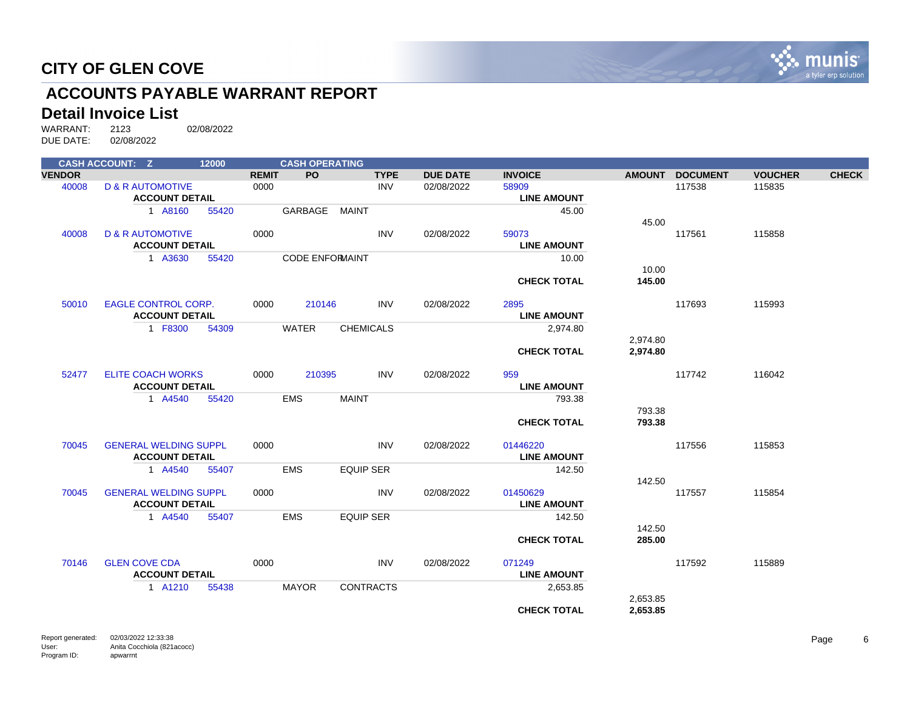

# **ACCOUNTS PAYABLE WARRANT REPORT**

#### **Detail Invoice List**

|               | <b>CASH ACCOUNT: Z</b>       | 12000 |              | <b>CASH OPERATING</b>  |                  |                 |                    |               |                 |                |              |
|---------------|------------------------------|-------|--------------|------------------------|------------------|-----------------|--------------------|---------------|-----------------|----------------|--------------|
| <b>VENDOR</b> |                              |       | <b>REMIT</b> | <b>PO</b>              | <b>TYPE</b>      | <b>DUE DATE</b> | <b>INVOICE</b>     | <b>AMOUNT</b> | <b>DOCUMENT</b> | <b>VOUCHER</b> | <b>CHECK</b> |
| 40008         | <b>D &amp; R AUTOMOTIVE</b>  |       | 0000         |                        | <b>INV</b>       | 02/08/2022      | 58909              |               | 117538          | 115835         |              |
|               | <b>ACCOUNT DETAIL</b>        |       |              |                        |                  |                 | <b>LINE AMOUNT</b> |               |                 |                |              |
|               | 1 A8160                      | 55420 |              | GARBAGE                | MAINT            |                 | 45.00              |               |                 |                |              |
|               |                              |       |              |                        |                  |                 |                    | 45.00         |                 |                |              |
| 40008         | <b>D &amp; R AUTOMOTIVE</b>  |       | 0000         |                        | <b>INV</b>       | 02/08/2022      | 59073              |               | 117561          | 115858         |              |
|               | <b>ACCOUNT DETAIL</b>        |       |              |                        |                  |                 | <b>LINE AMOUNT</b> |               |                 |                |              |
|               | 1 A3630                      | 55420 |              | <b>CODE ENFORMAINT</b> |                  |                 | 10.00              |               |                 |                |              |
|               |                              |       |              |                        |                  |                 |                    | 10.00         |                 |                |              |
|               |                              |       |              |                        |                  |                 | <b>CHECK TOTAL</b> | 145.00        |                 |                |              |
|               |                              |       |              |                        |                  |                 |                    |               |                 |                |              |
| 50010         | <b>EAGLE CONTROL CORP.</b>   |       | 0000         | 210146                 | <b>INV</b>       | 02/08/2022      | 2895               |               | 117693          | 115993         |              |
|               | <b>ACCOUNT DETAIL</b>        |       |              |                        |                  |                 | <b>LINE AMOUNT</b> |               |                 |                |              |
|               | 1 F8300                      | 54309 |              | <b>WATER</b>           | <b>CHEMICALS</b> |                 | 2,974.80           |               |                 |                |              |
|               |                              |       |              |                        |                  |                 |                    | 2,974.80      |                 |                |              |
|               |                              |       |              |                        |                  |                 | <b>CHECK TOTAL</b> | 2,974.80      |                 |                |              |
|               | <b>ELITE COACH WORKS</b>     |       |              | 210395                 | <b>INV</b>       | 02/08/2022      | 959                |               | 117742          | 116042         |              |
| 52477         | <b>ACCOUNT DETAIL</b>        |       | 0000         |                        |                  |                 | <b>LINE AMOUNT</b> |               |                 |                |              |
|               |                              |       |              |                        |                  |                 |                    |               |                 |                |              |
|               | 1 A4540                      | 55420 |              | <b>EMS</b>             | <b>MAINT</b>     |                 | 793.38             | 793.38        |                 |                |              |
|               |                              |       |              |                        |                  |                 | <b>CHECK TOTAL</b> | 793.38        |                 |                |              |
|               |                              |       |              |                        |                  |                 |                    |               |                 |                |              |
| 70045         | <b>GENERAL WELDING SUPPL</b> |       | 0000         |                        | <b>INV</b>       | 02/08/2022      | 01446220           |               | 117556          | 115853         |              |
|               | <b>ACCOUNT DETAIL</b>        |       |              |                        |                  |                 | <b>LINE AMOUNT</b> |               |                 |                |              |
|               | 1 A4540                      | 55407 |              | <b>EMS</b>             | <b>EQUIP SER</b> |                 | 142.50             |               |                 |                |              |
|               |                              |       |              |                        |                  |                 |                    | 142.50        |                 |                |              |
| 70045         | <b>GENERAL WELDING SUPPL</b> |       | 0000         |                        | <b>INV</b>       | 02/08/2022      | 01450629           |               | 117557          | 115854         |              |
|               | <b>ACCOUNT DETAIL</b>        |       |              |                        |                  |                 | <b>LINE AMOUNT</b> |               |                 |                |              |
|               | 1 A4540                      | 55407 |              | <b>EMS</b>             | <b>EQUIP SER</b> |                 | 142.50             |               |                 |                |              |
|               |                              |       |              |                        |                  |                 |                    | 142.50        |                 |                |              |
|               |                              |       |              |                        |                  |                 | <b>CHECK TOTAL</b> | 285.00        |                 |                |              |
|               |                              |       |              |                        |                  |                 |                    |               |                 |                |              |
| 70146         | <b>GLEN COVE CDA</b>         |       | 0000         |                        | <b>INV</b>       | 02/08/2022      | 071249             |               | 117592          | 115889         |              |
|               | <b>ACCOUNT DETAIL</b>        |       |              |                        |                  |                 | <b>LINE AMOUNT</b> |               |                 |                |              |
|               | 1 A1210                      | 55438 |              | <b>MAYOR</b>           | <b>CONTRACTS</b> |                 | 2,653.85           |               |                 |                |              |
|               |                              |       |              |                        |                  |                 |                    | 2,653.85      |                 |                |              |
|               |                              |       |              |                        |                  |                 | <b>CHECK TOTAL</b> | 2,653.85      |                 |                |              |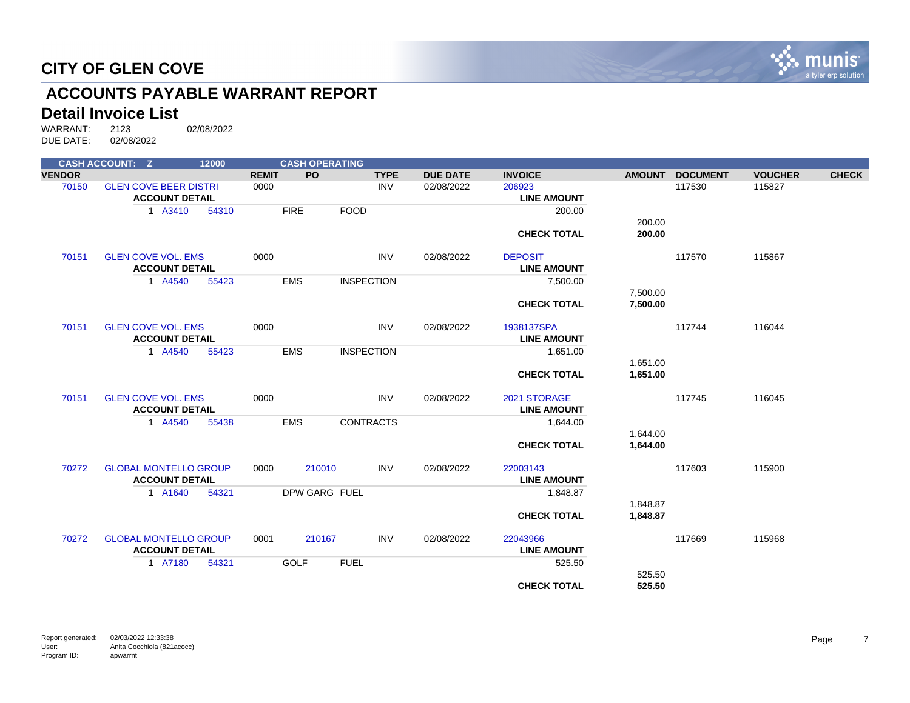

# **ACCOUNTS PAYABLE WARRANT REPORT**

#### **Detail Invoice List**

|               | <b>CASH ACCOUNT: Z</b>                                | 12000 |              | <b>CASH OPERATING</b> |                 |                              |               |                 |                |              |
|---------------|-------------------------------------------------------|-------|--------------|-----------------------|-----------------|------------------------------|---------------|-----------------|----------------|--------------|
| <b>VENDOR</b> |                                                       |       | <b>REMIT</b> | PO.<br><b>TYPE</b>    | <b>DUE DATE</b> | <b>INVOICE</b>               | <b>AMOUNT</b> | <b>DOCUMENT</b> | <b>VOUCHER</b> | <b>CHECK</b> |
| 70150         | <b>GLEN COVE BEER DISTRI</b><br><b>ACCOUNT DETAIL</b> |       | 0000         | <b>INV</b>            | 02/08/2022      | 206923<br><b>LINE AMOUNT</b> |               | 117530          | 115827         |              |
|               | 1 A3410                                               | 54310 | <b>FIRE</b>  | <b>FOOD</b>           |                 | 200.00                       |               |                 |                |              |
|               |                                                       |       |              |                       |                 |                              | 200.00        |                 |                |              |
|               |                                                       |       |              |                       |                 | <b>CHECK TOTAL</b>           | 200.00        |                 |                |              |
| 70151         | <b>GLEN COVE VOL. EMS</b>                             |       | 0000         | <b>INV</b>            | 02/08/2022      | <b>DEPOSIT</b>               |               | 117570          | 115867         |              |
|               | <b>ACCOUNT DETAIL</b>                                 |       |              |                       |                 | <b>LINE AMOUNT</b>           |               |                 |                |              |
|               | 1 A4540                                               | 55423 | <b>EMS</b>   | <b>INSPECTION</b>     |                 | 7,500.00                     |               |                 |                |              |
|               |                                                       |       |              |                       |                 |                              | 7,500.00      |                 |                |              |
|               |                                                       |       |              |                       |                 | <b>CHECK TOTAL</b>           | 7,500.00      |                 |                |              |
| 70151         | <b>GLEN COVE VOL. EMS</b>                             |       | 0000         | <b>INV</b>            | 02/08/2022      | 1938137SPA                   |               | 117744          | 116044         |              |
|               | <b>ACCOUNT DETAIL</b>                                 |       |              |                       |                 | <b>LINE AMOUNT</b>           |               |                 |                |              |
|               | 1 A4540                                               | 55423 | <b>EMS</b>   | <b>INSPECTION</b>     |                 | 1,651.00                     |               |                 |                |              |
|               |                                                       |       |              |                       |                 |                              | 1,651.00      |                 |                |              |
|               |                                                       |       |              |                       |                 | <b>CHECK TOTAL</b>           | 1,651.00      |                 |                |              |
| 70151         | <b>GLEN COVE VOL. EMS</b>                             |       | 0000         | <b>INV</b>            | 02/08/2022      | 2021 STORAGE                 |               | 117745          | 116045         |              |
|               | <b>ACCOUNT DETAIL</b>                                 |       |              |                       |                 | <b>LINE AMOUNT</b>           |               |                 |                |              |
|               | 1 A4540                                               | 55438 | <b>EMS</b>   | <b>CONTRACTS</b>      |                 | 1,644.00                     |               |                 |                |              |
|               |                                                       |       |              |                       |                 |                              | 1,644.00      |                 |                |              |
|               |                                                       |       |              |                       |                 | <b>CHECK TOTAL</b>           | 1,644.00      |                 |                |              |
| 70272         | <b>GLOBAL MONTELLO GROUP</b>                          |       | 0000         | 210010<br><b>INV</b>  | 02/08/2022      | 22003143                     |               | 117603          | 115900         |              |
|               | <b>ACCOUNT DETAIL</b>                                 |       |              |                       |                 | <b>LINE AMOUNT</b>           |               |                 |                |              |
|               | 1 A1640                                               | 54321 |              | DPW GARG FUEL         |                 | 1,848.87                     |               |                 |                |              |
|               |                                                       |       |              |                       |                 |                              | 1,848.87      |                 |                |              |
|               |                                                       |       |              |                       |                 | <b>CHECK TOTAL</b>           | 1,848.87      |                 |                |              |
| 70272         | <b>GLOBAL MONTELLO GROUP</b>                          |       | 0001         | <b>INV</b><br>210167  | 02/08/2022      | 22043966                     |               | 117669          | 115968         |              |
|               | <b>ACCOUNT DETAIL</b>                                 |       |              |                       |                 | <b>LINE AMOUNT</b>           |               |                 |                |              |
|               | 1 A7180                                               | 54321 | <b>GOLF</b>  | <b>FUEL</b>           |                 | 525.50                       |               |                 |                |              |
|               |                                                       |       |              |                       |                 |                              | 525.50        |                 |                |              |
|               |                                                       |       |              |                       |                 | <b>CHECK TOTAL</b>           | 525.50        |                 |                |              |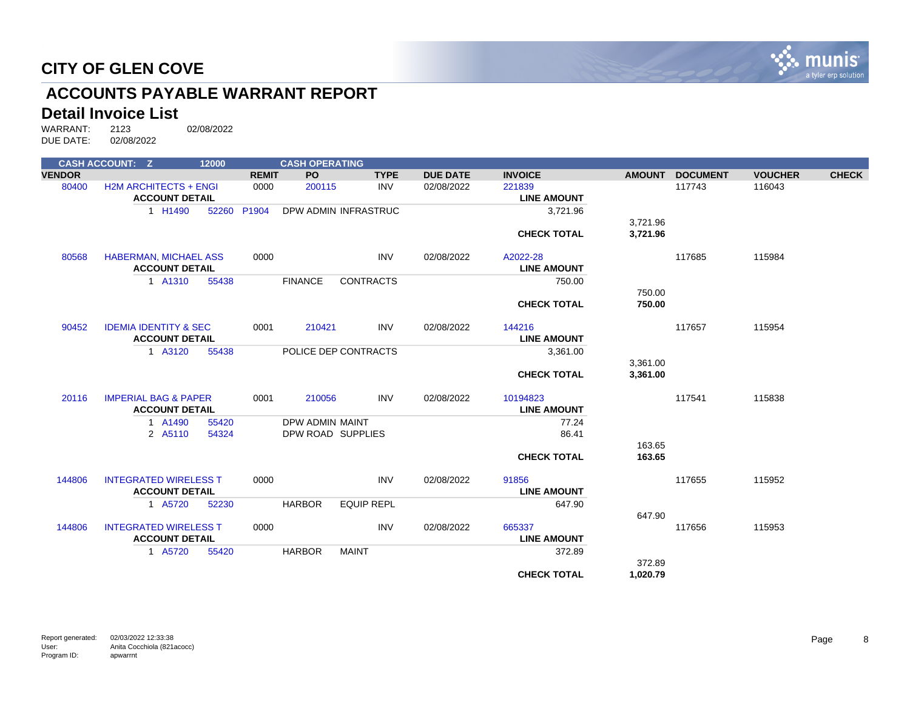

# **ACCOUNTS PAYABLE WARRANT REPORT**

#### **Detail Invoice List**

|               | <b>CASH ACCOUNT: Z</b>                                | 12000 |              | <b>CASH OPERATING</b> |                      |                 |                              |               |                 |                |              |
|---------------|-------------------------------------------------------|-------|--------------|-----------------------|----------------------|-----------------|------------------------------|---------------|-----------------|----------------|--------------|
| <b>VENDOR</b> |                                                       |       | <b>REMIT</b> | <b>PO</b>             | <b>TYPE</b>          | <b>DUE DATE</b> | <b>INVOICE</b>               | <b>AMOUNT</b> | <b>DOCUMENT</b> | <b>VOUCHER</b> | <b>CHECK</b> |
| 80400         | <b>H2M ARCHITECTS + ENGI</b><br><b>ACCOUNT DETAIL</b> |       | 0000         | 200115                | <b>INV</b>           | 02/08/2022      | 221839<br><b>LINE AMOUNT</b> |               | 117743          | 116043         |              |
|               | 1 H1490                                               | 52260 | P1904        |                       | DPW ADMIN INFRASTRUC |                 | 3,721.96                     |               |                 |                |              |
|               |                                                       |       |              |                       |                      |                 |                              | 3,721.96      |                 |                |              |
|               |                                                       |       |              |                       |                      |                 | <b>CHECK TOTAL</b>           | 3,721.96      |                 |                |              |
| 80568         | <b>HABERMAN, MICHAEL ASS</b>                          |       | 0000         |                       | <b>INV</b>           | 02/08/2022      | A2022-28                     |               | 117685          | 115984         |              |
|               | <b>ACCOUNT DETAIL</b>                                 |       |              |                       |                      |                 | <b>LINE AMOUNT</b>           |               |                 |                |              |
|               | 1 A1310                                               | 55438 |              | <b>FINANCE</b>        | <b>CONTRACTS</b>     |                 | 750.00                       |               |                 |                |              |
|               |                                                       |       |              |                       |                      |                 |                              | 750.00        |                 |                |              |
|               |                                                       |       |              |                       |                      |                 | <b>CHECK TOTAL</b>           | 750.00        |                 |                |              |
| 90452         | <b>IDEMIA IDENTITY &amp; SEC</b>                      |       | 0001         | 210421                | <b>INV</b>           | 02/08/2022      | 144216                       |               | 117657          | 115954         |              |
|               | <b>ACCOUNT DETAIL</b>                                 |       |              |                       |                      |                 | <b>LINE AMOUNT</b>           |               |                 |                |              |
|               | 1 A3120                                               | 55438 |              |                       | POLICE DEP CONTRACTS |                 | 3,361.00                     |               |                 |                |              |
|               |                                                       |       |              |                       |                      |                 |                              | 3,361.00      |                 |                |              |
|               |                                                       |       |              |                       |                      |                 | <b>CHECK TOTAL</b>           | 3,361.00      |                 |                |              |
| 20116         | <b>IMPERIAL BAG &amp; PAPER</b>                       |       | 0001         | 210056                | <b>INV</b>           | 02/08/2022      | 10194823                     |               | 117541          | 115838         |              |
|               | <b>ACCOUNT DETAIL</b>                                 |       |              |                       |                      |                 | <b>LINE AMOUNT</b>           |               |                 |                |              |
|               | 1 A1490                                               | 55420 |              | DPW ADMIN MAINT       |                      |                 | 77.24                        |               |                 |                |              |
|               | 2 A5110                                               | 54324 |              | DPW ROAD SUPPLIES     |                      |                 | 86.41                        |               |                 |                |              |
|               |                                                       |       |              |                       |                      |                 |                              | 163.65        |                 |                |              |
|               |                                                       |       |              |                       |                      |                 | <b>CHECK TOTAL</b>           | 163.65        |                 |                |              |
| 144806        | <b>INTEGRATED WIRELESS T</b>                          |       | 0000         |                       | <b>INV</b>           | 02/08/2022      | 91856                        |               | 117655          | 115952         |              |
|               | <b>ACCOUNT DETAIL</b>                                 |       |              |                       |                      |                 | <b>LINE AMOUNT</b>           |               |                 |                |              |
|               | 1 A5720                                               | 52230 |              | <b>HARBOR</b>         | <b>EQUIP REPL</b>    |                 | 647.90                       |               |                 |                |              |
|               |                                                       |       |              |                       |                      |                 |                              | 647.90        |                 |                |              |
| 144806        | <b>INTEGRATED WIRELESS T</b>                          |       | 0000         |                       | <b>INV</b>           | 02/08/2022      | 665337                       |               | 117656          | 115953         |              |
|               | <b>ACCOUNT DETAIL</b>                                 |       |              |                       |                      |                 | <b>LINE AMOUNT</b>           |               |                 |                |              |
|               | 1 A5720                                               | 55420 |              | <b>HARBOR</b>         | <b>MAINT</b>         |                 | 372.89                       | 372.89        |                 |                |              |
|               |                                                       |       |              |                       |                      |                 | <b>CHECK TOTAL</b>           | 1,020.79      |                 |                |              |
|               |                                                       |       |              |                       |                      |                 |                              |               |                 |                |              |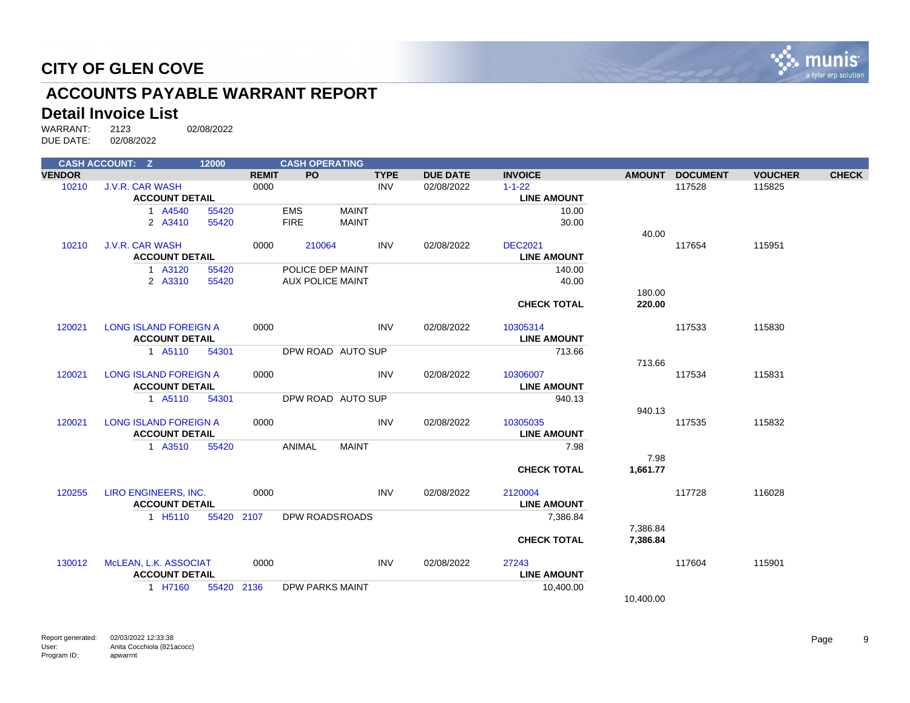

# **ACCOUNTS PAYABLE WARRANT REPORT**

#### **Detail Invoice List**

|               | <b>CASH ACCOUNT: Z</b>       | 12000 |              | <b>CASH OPERATING</b> |                         |             |                 |                    |               |                 |                |              |
|---------------|------------------------------|-------|--------------|-----------------------|-------------------------|-------------|-----------------|--------------------|---------------|-----------------|----------------|--------------|
| <b>VENDOR</b> |                              |       | <b>REMIT</b> | <b>PO</b>             |                         | <b>TYPE</b> | <b>DUE DATE</b> | <b>INVOICE</b>     | <b>AMOUNT</b> | <b>DOCUMENT</b> | <b>VOUCHER</b> | <b>CHECK</b> |
| 10210         | <b>J.V.R. CAR WASH</b>       |       | 0000         |                       |                         | <b>INV</b>  | 02/08/2022      | $1 - 1 - 22$       |               | 117528          | 115825         |              |
|               | <b>ACCOUNT DETAIL</b>        |       |              |                       |                         |             |                 | <b>LINE AMOUNT</b> |               |                 |                |              |
|               | 1 A4540                      | 55420 |              | <b>EMS</b>            | <b>MAINT</b>            |             |                 | 10.00              |               |                 |                |              |
|               | 2 A3410                      | 55420 |              | <b>FIRE</b>           | <b>MAINT</b>            |             |                 | 30.00              |               |                 |                |              |
|               |                              |       |              |                       |                         |             |                 |                    | 40.00         |                 |                |              |
| 10210         | <b>J.V.R. CAR WASH</b>       |       | 0000         | 210064                |                         | <b>INV</b>  | 02/08/2022      | <b>DEC2021</b>     |               | 117654          | 115951         |              |
|               | <b>ACCOUNT DETAIL</b>        |       |              |                       |                         |             |                 | <b>LINE AMOUNT</b> |               |                 |                |              |
|               | 1 A3120                      | 55420 |              |                       | POLICE DEP MAINT        |             |                 | 140.00             |               |                 |                |              |
|               | 2 A3310                      | 55420 |              |                       | <b>AUX POLICE MAINT</b> |             |                 | 40.00              |               |                 |                |              |
|               |                              |       |              |                       |                         |             |                 |                    | 180.00        |                 |                |              |
|               |                              |       |              |                       |                         |             |                 | <b>CHECK TOTAL</b> | 220.00        |                 |                |              |
| 120021        | <b>LONG ISLAND FOREIGN A</b> |       | 0000         |                       |                         | <b>INV</b>  | 02/08/2022      | 10305314           |               | 117533          | 115830         |              |
|               | <b>ACCOUNT DETAIL</b>        |       |              |                       |                         |             |                 | <b>LINE AMOUNT</b> |               |                 |                |              |
|               | 1 A5110                      | 54301 |              |                       | DPW ROAD AUTO SUP       |             |                 | 713.66             |               |                 |                |              |
|               |                              |       |              |                       |                         |             |                 |                    | 713.66        |                 |                |              |
| 120021        | <b>LONG ISLAND FOREIGN A</b> |       | 0000         |                       |                         | <b>INV</b>  | 02/08/2022      | 10306007           |               | 117534          | 115831         |              |
|               | <b>ACCOUNT DETAIL</b>        |       |              |                       |                         |             |                 | <b>LINE AMOUNT</b> |               |                 |                |              |
|               | 1 A5110                      | 54301 |              |                       | DPW ROAD AUTO SUP       |             |                 | 940.13             |               |                 |                |              |
|               |                              |       |              |                       |                         |             |                 |                    | 940.13        |                 |                |              |
| 120021        | <b>LONG ISLAND FOREIGN A</b> |       | 0000         |                       |                         | <b>INV</b>  | 02/08/2022      | 10305035           |               | 117535          | 115832         |              |
|               | <b>ACCOUNT DETAIL</b>        |       |              |                       |                         |             |                 | <b>LINE AMOUNT</b> |               |                 |                |              |
|               | 1 A3510                      | 55420 |              | ANIMAL                | <b>MAINT</b>            |             |                 | 7.98               |               |                 |                |              |
|               |                              |       |              |                       |                         |             |                 |                    | 7.98          |                 |                |              |
|               |                              |       |              |                       |                         |             |                 | <b>CHECK TOTAL</b> | 1,661.77      |                 |                |              |
| 120255        | LIRO ENGINEERS, INC.         |       | 0000         |                       |                         | <b>INV</b>  | 02/08/2022      | 2120004            |               | 117728          | 116028         |              |
|               | <b>ACCOUNT DETAIL</b>        |       |              |                       |                         |             |                 | <b>LINE AMOUNT</b> |               |                 |                |              |
|               | 1 H <sub>5</sub> 110         | 55420 | 2107         |                       | DPW ROADSROADS          |             |                 | 7,386.84           |               |                 |                |              |
|               |                              |       |              |                       |                         |             |                 |                    | 7,386.84      |                 |                |              |
|               |                              |       |              |                       |                         |             |                 | <b>CHECK TOTAL</b> | 7,386.84      |                 |                |              |
| 130012        | McLEAN, L.K. ASSOCIAT        |       | 0000         |                       |                         | <b>INV</b>  | 02/08/2022      | 27243              |               | 117604          | 115901         |              |
|               | <b>ACCOUNT DETAIL</b>        |       |              |                       |                         |             |                 | <b>LINE AMOUNT</b> |               |                 |                |              |
|               | 1 H7160                      | 55420 | 2136         |                       | <b>DPW PARKS MAINT</b>  |             |                 | 10,400.00          |               |                 |                |              |
|               |                              |       |              |                       |                         |             |                 |                    | 10,400.00     |                 |                |              |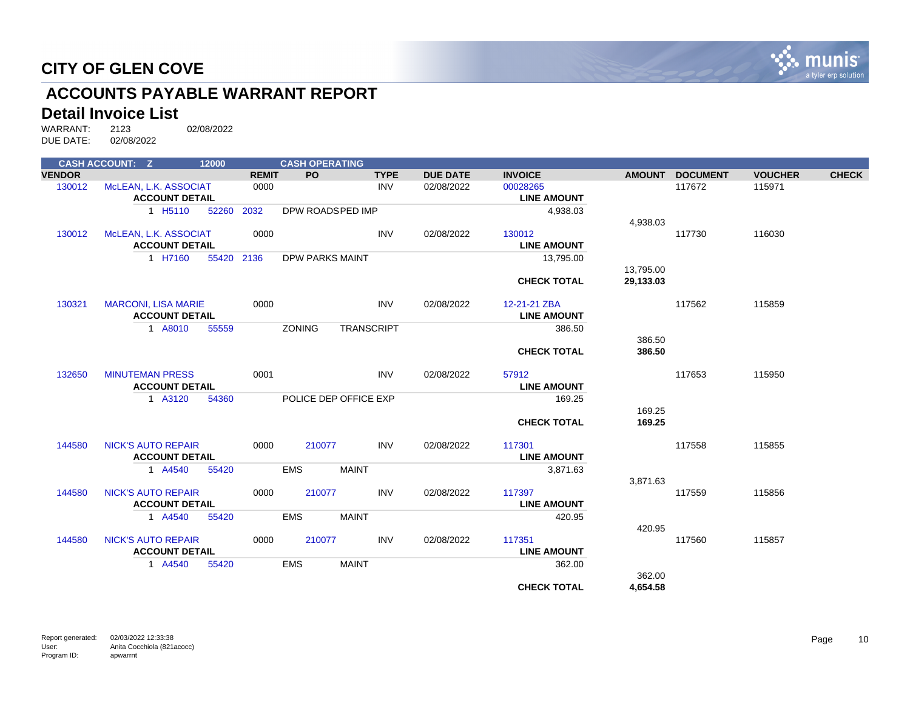

# **ACCOUNTS PAYABLE WARRANT REPORT**

#### **Detail Invoice List**

|               | <b>CASH ACCOUNT: Z</b>     | 12000      |              | <b>CASH OPERATING</b>  |                       |                 |                    |           |                 |                |              |
|---------------|----------------------------|------------|--------------|------------------------|-----------------------|-----------------|--------------------|-----------|-----------------|----------------|--------------|
| <b>VENDOR</b> |                            |            | <b>REMIT</b> | <b>PO</b>              | <b>TYPE</b>           | <b>DUE DATE</b> | <b>INVOICE</b>     |           | AMOUNT DOCUMENT | <b>VOUCHER</b> | <b>CHECK</b> |
| 130012        | McLEAN, L.K. ASSOCIAT      |            | 0000         |                        | <b>INV</b>            | 02/08/2022      | 00028265           |           | 117672          | 115971         |              |
|               | <b>ACCOUNT DETAIL</b>      |            |              |                        |                       |                 | <b>LINE AMOUNT</b> |           |                 |                |              |
|               | 1 H <sub>5</sub> 110       | 52260      | 2032         | DPW ROADSPED IMP       |                       |                 | 4,938.03           |           |                 |                |              |
|               |                            |            |              |                        |                       |                 |                    | 4,938.03  |                 |                |              |
| 130012        | McLEAN, L.K. ASSOCIAT      |            | 0000         |                        | <b>INV</b>            | 02/08/2022      | 130012             |           | 117730          | 116030         |              |
|               | <b>ACCOUNT DETAIL</b>      |            |              |                        |                       |                 | <b>LINE AMOUNT</b> |           |                 |                |              |
|               | 1 H7160                    | 55420 2136 |              | <b>DPW PARKS MAINT</b> |                       |                 | 13,795.00          |           |                 |                |              |
|               |                            |            |              |                        |                       |                 |                    | 13,795.00 |                 |                |              |
|               |                            |            |              |                        |                       |                 | <b>CHECK TOTAL</b> | 29.133.03 |                 |                |              |
| 130321        | <b>MARCONI, LISA MARIE</b> |            | 0000         |                        | <b>INV</b>            | 02/08/2022      | 12-21-21 ZBA       |           | 117562          | 115859         |              |
|               | <b>ACCOUNT DETAIL</b>      |            |              |                        |                       |                 | <b>LINE AMOUNT</b> |           |                 |                |              |
|               | 1 A8010                    | 55559      |              | <b>ZONING</b>          | <b>TRANSCRIPT</b>     |                 | 386.50             |           |                 |                |              |
|               |                            |            |              |                        |                       |                 |                    | 386.50    |                 |                |              |
|               |                            |            |              |                        |                       |                 | <b>CHECK TOTAL</b> | 386.50    |                 |                |              |
| 132650        | <b>MINUTEMAN PRESS</b>     |            | 0001         |                        | <b>INV</b>            | 02/08/2022      | 57912              |           | 117653          | 115950         |              |
|               | <b>ACCOUNT DETAIL</b>      |            |              |                        |                       |                 | <b>LINE AMOUNT</b> |           |                 |                |              |
|               | 1 A3120                    | 54360      |              |                        | POLICE DEP OFFICE EXP |                 | 169.25             |           |                 |                |              |
|               |                            |            |              |                        |                       |                 |                    | 169.25    |                 |                |              |
|               |                            |            |              |                        |                       |                 | <b>CHECK TOTAL</b> | 169.25    |                 |                |              |
| 144580        | <b>NICK'S AUTO REPAIR</b>  |            | 0000         | 210077                 | <b>INV</b>            | 02/08/2022      | 117301             |           | 117558          | 115855         |              |
|               | <b>ACCOUNT DETAIL</b>      |            |              |                        |                       |                 | <b>LINE AMOUNT</b> |           |                 |                |              |
|               | 1 A4540                    | 55420      |              | <b>EMS</b>             | <b>MAINT</b>          |                 | 3,871.63           |           |                 |                |              |
|               |                            |            |              |                        |                       |                 |                    | 3,871.63  |                 |                |              |
| 144580        | <b>NICK'S AUTO REPAIR</b>  |            | 0000         | 210077                 | <b>INV</b>            | 02/08/2022      | 117397             |           | 117559          | 115856         |              |
|               | <b>ACCOUNT DETAIL</b>      |            |              |                        |                       |                 | <b>LINE AMOUNT</b> |           |                 |                |              |
|               | 1 A4540                    | 55420      |              | <b>EMS</b>             | <b>MAINT</b>          |                 | 420.95             |           |                 |                |              |
|               |                            |            |              |                        |                       |                 |                    | 420.95    |                 |                |              |
| 144580        | <b>NICK'S AUTO REPAIR</b>  |            | 0000         | 210077                 | <b>INV</b>            | 02/08/2022      | 117351             |           | 117560          | 115857         |              |
|               | <b>ACCOUNT DETAIL</b>      |            |              |                        |                       |                 | <b>LINE AMOUNT</b> |           |                 |                |              |
|               | 1 A4540                    | 55420      |              | <b>EMS</b>             | <b>MAINT</b>          |                 | 362.00             |           |                 |                |              |
|               |                            |            |              |                        |                       |                 |                    | 362.00    |                 |                |              |
|               |                            |            |              |                        |                       |                 | <b>CHECK TOTAL</b> | 4,654.58  |                 |                |              |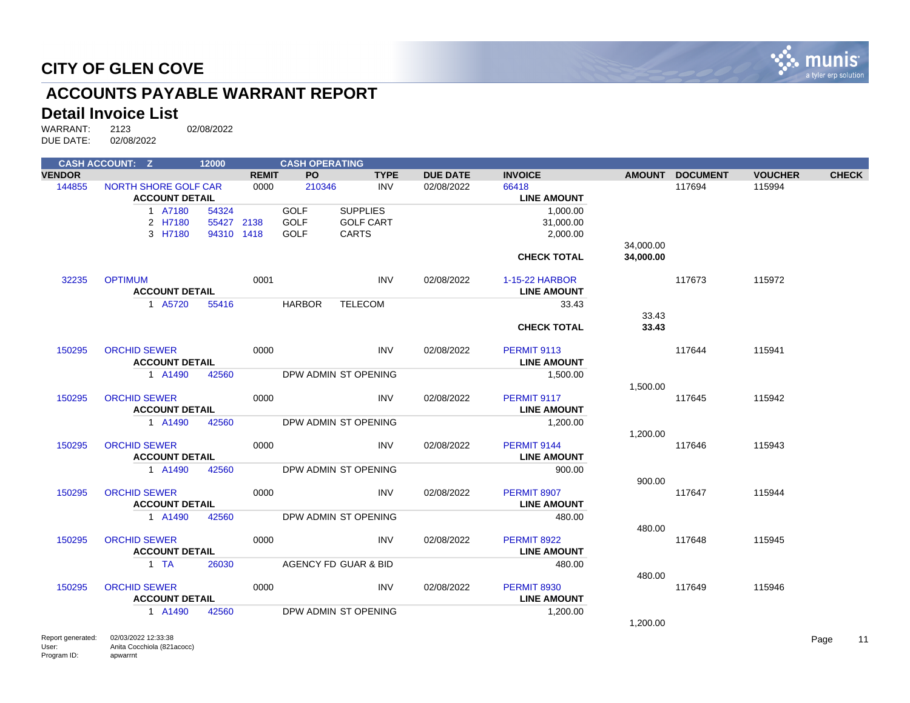

# **ACCOUNTS PAYABLE WARRANT REPORT**

#### **Detail Invoice List**

WARRANT: 2123 02/08/2022 DUE DATE: 02/08/2022

|               | <b>CASH ACCOUNT: Z</b>                        | 12000 |              | <b>CASH OPERATING</b> |                                 |                    |                             |               |                 |                |              |
|---------------|-----------------------------------------------|-------|--------------|-----------------------|---------------------------------|--------------------|-----------------------------|---------------|-----------------|----------------|--------------|
| <b>VENDOR</b> |                                               |       | <b>REMIT</b> | PO.                   | <b>TYPE</b>                     | <b>DUE DATE</b>    | <b>INVOICE</b>              | <b>AMOUNT</b> | <b>DOCUMENT</b> | <b>VOUCHER</b> | <b>CHECK</b> |
| 144855        | NORTH SHORE GOLF CAR<br><b>ACCOUNT DETAIL</b> |       | 0000         | 210346                | INV                             | 02/08/2022         | 66418<br><b>LINE AMOUNT</b> |               | 117694          | 115994         |              |
|               | 1 A7180                                       | 54324 |              | <b>GOLF</b>           | <b>SUPPLIES</b>                 |                    | 1,000.00                    |               |                 |                |              |
|               | 2 H7180                                       |       | 55427 2138   | <b>GOLF</b>           | <b>GOLF CART</b>                |                    | 31,000.00                   |               |                 |                |              |
|               | 3 H7180                                       |       | 94310 1418   | <b>GOLF</b>           | <b>CARTS</b>                    |                    | 2,000.00                    |               |                 |                |              |
|               |                                               |       |              |                       |                                 |                    |                             | 34,000.00     |                 |                |              |
|               |                                               |       |              |                       |                                 |                    | <b>CHECK TOTAL</b>          | 34,000.00     |                 |                |              |
| 32235         | <b>OPTIMUM</b>                                |       | 0001         |                       | INV                             | 02/08/2022         | 1-15-22 HARBOR              |               | 117673          | 115972         |              |
|               | <b>ACCOUNT DETAIL</b>                         |       |              |                       |                                 |                    | <b>LINE AMOUNT</b>          |               |                 |                |              |
|               | 1 A5720                                       | 55416 |              | <b>HARBOR</b>         | <b>TELECOM</b>                  |                    | 33.43                       |               |                 |                |              |
|               |                                               |       |              |                       |                                 |                    |                             | 33.43         |                 |                |              |
|               |                                               |       |              |                       |                                 |                    | <b>CHECK TOTAL</b>          | 33.43         |                 |                |              |
| 150295        | <b>ORCHID SEWER</b>                           |       | 0000         |                       | INV                             | 02/08/2022         | <b>PERMIT 9113</b>          |               | 117644          | 115941         |              |
|               | <b>ACCOUNT DETAIL</b>                         |       |              |                       |                                 |                    | <b>LINE AMOUNT</b>          |               |                 |                |              |
|               | 1 A1490                                       | 42560 |              |                       | DPW ADMIN ST OPENING            |                    | 1,500.00                    |               |                 |                |              |
|               |                                               |       |              |                       |                                 |                    |                             | 1,500.00      |                 |                |              |
| 150295        | <b>ORCHID SEWER</b>                           |       | 0000         |                       | <b>INV</b>                      | 02/08/2022         | <b>PERMIT 9117</b>          |               | 117645          | 115942         |              |
|               | <b>ACCOUNT DETAIL</b>                         |       |              |                       |                                 | <b>LINE AMOUNT</b> |                             |               |                 |                |              |
|               | 1 A1490                                       | 42560 |              |                       | DPW ADMIN ST OPENING            |                    | 1,200.00                    |               |                 |                |              |
|               |                                               |       |              |                       |                                 |                    |                             | 1,200.00      |                 |                |              |
| 150295        | <b>ORCHID SEWER</b>                           |       | 0000         |                       | INV                             | 02/08/2022         | <b>PERMIT 9144</b>          |               | 117646          | 115943         |              |
|               | <b>ACCOUNT DETAIL</b>                         |       |              |                       |                                 |                    | <b>LINE AMOUNT</b>          |               |                 |                |              |
|               | 1 A1490                                       | 42560 |              |                       | DPW ADMIN ST OPENING            |                    | 900.00                      |               |                 |                |              |
|               |                                               |       |              |                       |                                 |                    |                             | 900.00        |                 |                |              |
| 150295        | <b>ORCHID SEWER</b>                           |       | 0000         |                       | <b>INV</b>                      | 02/08/2022         | PERMIT 8907                 |               | 117647          | 115944         |              |
|               | <b>ACCOUNT DETAIL</b>                         |       |              |                       |                                 |                    | <b>LINE AMOUNT</b>          |               |                 |                |              |
|               | 1 A1490                                       | 42560 |              |                       | DPW ADMIN ST OPENING            |                    | 480.00                      | 480.00        |                 |                |              |
| 150295        | <b>ORCHID SEWER</b>                           |       | 0000         |                       | INV                             | 02/08/2022         | <b>PERMIT 8922</b>          |               | 117648          | 115945         |              |
|               | <b>ACCOUNT DETAIL</b>                         |       |              |                       |                                 |                    | <b>LINE AMOUNT</b>          |               |                 |                |              |
|               | $1$ TA                                        | 26030 |              |                       | <b>AGENCY FD GUAR &amp; BID</b> |                    | 480.00                      |               |                 |                |              |
|               |                                               |       |              |                       |                                 |                    |                             | 480.00        |                 |                |              |
| 150295        | <b>ORCHID SEWER</b>                           |       | 0000         |                       | INV                             | 02/08/2022         | <b>PERMIT 8930</b>          |               | 117649          | 115946         |              |
|               | <b>ACCOUNT DETAIL</b>                         |       |              |                       |                                 |                    | <b>LINE AMOUNT</b>          |               |                 |                |              |
|               | 1 A1490                                       | 42560 |              |                       | DPW ADMIN ST OPENING            |                    | 1,200.00                    |               |                 |                |              |
|               |                                               |       |              |                       |                                 |                    |                             | 1,200.00      |                 |                |              |

Report generated: 02/03/2022 12:33:38 User: Program ID: Anita Cocchiola (821acocc) apwarrnt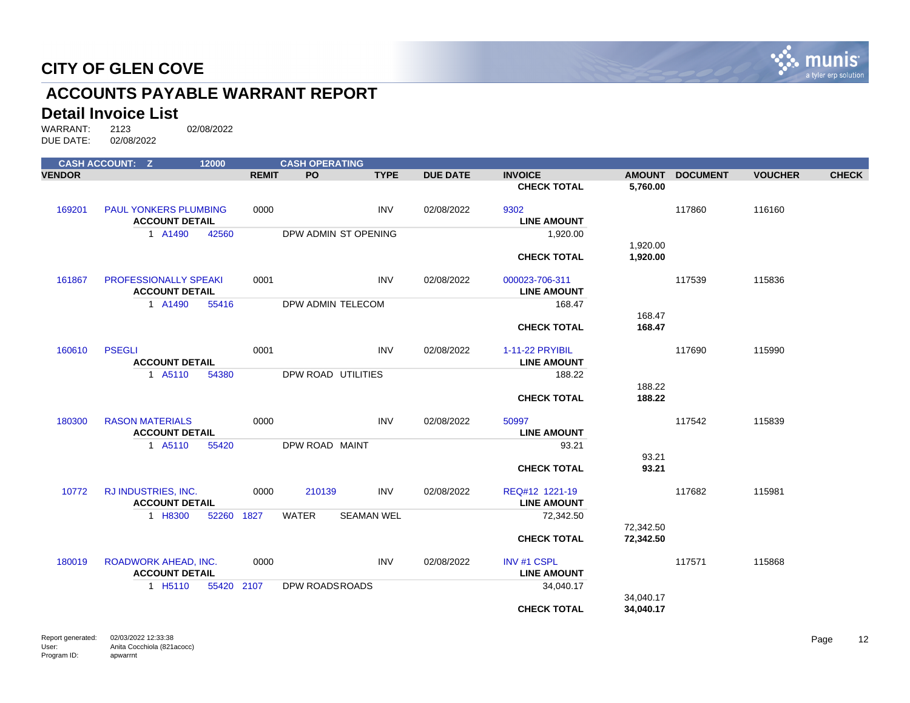

# **ACCOUNTS PAYABLE WARRANT REPORT**

#### **Detail Invoice List**

|               | <b>CASH ACCOUNT: Z</b>       | 12000      |              | <b>CASH OPERATING</b> |                   |                 |                    |               |                 |                |              |
|---------------|------------------------------|------------|--------------|-----------------------|-------------------|-----------------|--------------------|---------------|-----------------|----------------|--------------|
| <b>VENDOR</b> |                              |            | <b>REMIT</b> | <b>PO</b>             | <b>TYPE</b>       | <b>DUE DATE</b> | <b>INVOICE</b>     | <b>AMOUNT</b> | <b>DOCUMENT</b> | <b>VOUCHER</b> | <b>CHECK</b> |
|               |                              |            |              |                       |                   |                 | <b>CHECK TOTAL</b> | 5,760.00      |                 |                |              |
| 169201        | <b>PAUL YONKERS PLUMBING</b> |            | 0000         |                       | INV               | 02/08/2022      | 9302               |               | 117860          | 116160         |              |
|               | <b>ACCOUNT DETAIL</b>        |            |              |                       |                   |                 | <b>LINE AMOUNT</b> |               |                 |                |              |
|               | 1 A1490                      | 42560      |              | DPW ADMIN ST OPENING  |                   |                 | 1,920.00           |               |                 |                |              |
|               |                              |            |              |                       |                   |                 |                    | 1,920.00      |                 |                |              |
|               |                              |            |              |                       |                   |                 | <b>CHECK TOTAL</b> | 1,920.00      |                 |                |              |
| 161867        | <b>PROFESSIONALLY SPEAKI</b> |            | 0001         |                       | <b>INV</b>        | 02/08/2022      | 000023-706-311     |               | 117539          | 115836         |              |
|               | <b>ACCOUNT DETAIL</b>        |            |              |                       |                   |                 | <b>LINE AMOUNT</b> |               |                 |                |              |
|               | 1 A1490                      | 55416      |              | DPW ADMIN TELECOM     |                   |                 | 168.47             |               |                 |                |              |
|               |                              |            |              |                       |                   |                 |                    | 168.47        |                 |                |              |
|               |                              |            |              |                       |                   |                 | <b>CHECK TOTAL</b> | 168.47        |                 |                |              |
| 160610        | <b>PSEGLI</b>                |            | 0001         |                       | <b>INV</b>        | 02/08/2022      | 1-11-22 PRYIBIL    |               | 117690          | 115990         |              |
|               | <b>ACCOUNT DETAIL</b>        |            |              |                       |                   |                 | <b>LINE AMOUNT</b> |               |                 |                |              |
|               | 1 A5110                      | 54380      |              | DPW ROAD UTILITIES    |                   |                 | 188.22             |               |                 |                |              |
|               |                              |            |              |                       |                   |                 |                    | 188.22        |                 |                |              |
|               |                              |            |              |                       |                   |                 | <b>CHECK TOTAL</b> | 188.22        |                 |                |              |
| 180300        | <b>RASON MATERIALS</b>       |            | 0000         |                       | <b>INV</b>        | 02/08/2022      | 50997              |               | 117542          | 115839         |              |
|               | <b>ACCOUNT DETAIL</b>        |            |              |                       |                   |                 | <b>LINE AMOUNT</b> |               |                 |                |              |
|               | 1 A5110                      | 55420      |              | DPW ROAD MAINT        |                   |                 | 93.21              |               |                 |                |              |
|               |                              |            |              |                       |                   |                 |                    | 93.21         |                 |                |              |
|               |                              |            |              |                       |                   |                 | <b>CHECK TOTAL</b> | 93.21         |                 |                |              |
| 10772         | RJ INDUSTRIES, INC.          |            | 0000         | 210139                | <b>INV</b>        | 02/08/2022      | REQ#12 1221-19     |               | 117682          | 115981         |              |
|               | <b>ACCOUNT DETAIL</b>        |            |              |                       |                   |                 | <b>LINE AMOUNT</b> |               |                 |                |              |
|               | 1 H8300                      | 52260 1827 |              | <b>WATER</b>          | <b>SEAMAN WEL</b> |                 | 72,342.50          |               |                 |                |              |
|               |                              |            |              |                       |                   |                 |                    | 72,342.50     |                 |                |              |
|               |                              |            |              |                       |                   |                 | <b>CHECK TOTAL</b> | 72,342.50     |                 |                |              |
| 180019        | ROADWORK AHEAD, INC.         |            | 0000         |                       | <b>INV</b>        | 02/08/2022      | <b>INV #1 CSPL</b> |               | 117571          | 115868         |              |
|               | <b>ACCOUNT DETAIL</b>        |            |              |                       |                   |                 | <b>LINE AMOUNT</b> |               |                 |                |              |
|               | 1 H <sub>5</sub> 110         | 55420 2107 |              | DPW ROADSROADS        |                   |                 | 34,040.17          |               |                 |                |              |
|               |                              |            |              |                       |                   |                 |                    | 34,040.17     |                 |                |              |
|               |                              |            |              |                       |                   |                 | <b>CHECK TOTAL</b> | 34,040.17     |                 |                |              |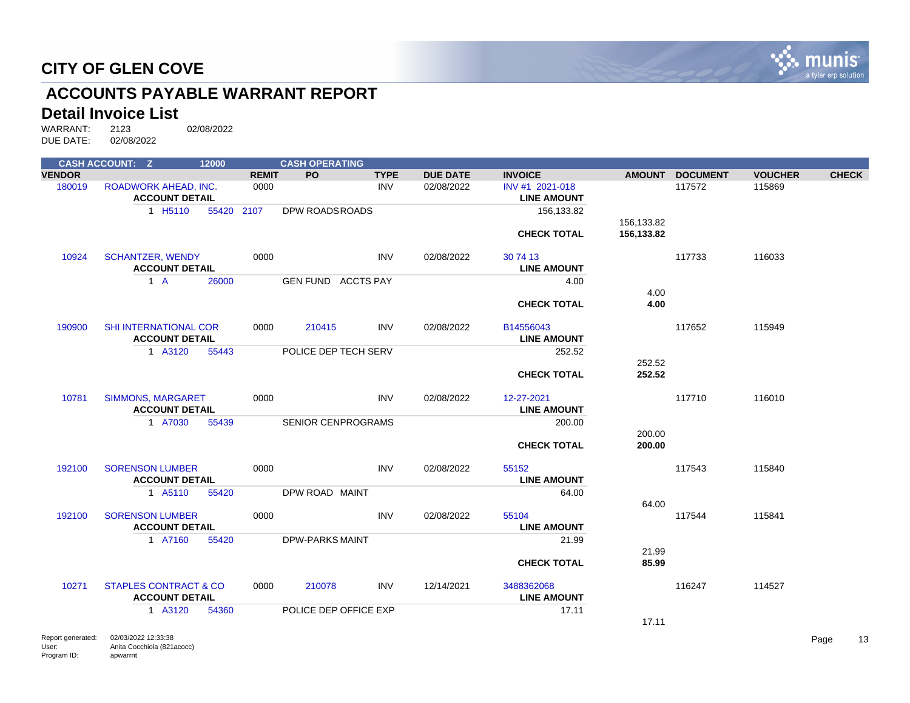

# **ACCOUNTS PAYABLE WARRANT REPORT**

#### **Detail Invoice List**

|               | <b>CASH ACCOUNT: Z</b>                       | 12000      |              | <b>CASH OPERATING</b>     |             |                 |                    |               |                 |                |              |
|---------------|----------------------------------------------|------------|--------------|---------------------------|-------------|-----------------|--------------------|---------------|-----------------|----------------|--------------|
| <b>VENDOR</b> |                                              |            | <b>REMIT</b> | PO                        | <b>TYPE</b> | <b>DUE DATE</b> | <b>INVOICE</b>     | <b>AMOUNT</b> | <b>DOCUMENT</b> | <b>VOUCHER</b> | <b>CHECK</b> |
| 180019        | <b>ROADWORK AHEAD, INC.</b>                  |            | 0000         |                           | <b>INV</b>  | 02/08/2022      | INV #1 2021-018    |               | 117572          | 115869         |              |
|               | <b>ACCOUNT DETAIL</b>                        |            |              |                           |             |                 | <b>LINE AMOUNT</b> |               |                 |                |              |
|               | 1 H <sub>5</sub> 110                         | 55420 2107 |              | DPW ROADSROADS            |             |                 | 156,133.82         |               |                 |                |              |
|               |                                              |            |              |                           |             |                 |                    | 156,133.82    |                 |                |              |
|               |                                              |            |              |                           |             |                 | <b>CHECK TOTAL</b> | 156,133.82    |                 |                |              |
| 10924         | <b>SCHANTZER, WENDY</b>                      |            | 0000         |                           | <b>INV</b>  | 02/08/2022      | 30 74 13           |               | 117733          | 116033         |              |
|               | <b>ACCOUNT DETAIL</b>                        |            |              |                           |             |                 | <b>LINE AMOUNT</b> |               |                 |                |              |
|               | $1 \text{ A}$                                | 26000      |              | <b>GEN FUND ACCTS PAY</b> |             |                 | 4.00               |               |                 |                |              |
|               |                                              |            |              |                           |             |                 |                    | 4.00          |                 |                |              |
|               |                                              |            |              |                           |             |                 | <b>CHECK TOTAL</b> | 4.00          |                 |                |              |
|               |                                              |            |              |                           |             |                 |                    |               |                 |                |              |
| 190900        | <b>SHI INTERNATIONAL COR</b>                 |            | 0000         | 210415                    | <b>INV</b>  | 02/08/2022      | B14556043          |               | 117652          | 115949         |              |
|               | <b>ACCOUNT DETAIL</b>                        |            |              |                           |             |                 | <b>LINE AMOUNT</b> |               |                 |                |              |
|               | 1 A3120                                      | 55443      |              | POLICE DEP TECH SERV      |             |                 | 252.52             |               |                 |                |              |
|               |                                              |            |              |                           |             |                 |                    | 252.52        |                 |                |              |
|               |                                              |            |              |                           |             |                 | <b>CHECK TOTAL</b> | 252.52        |                 |                |              |
| 10781         | <b>SIMMONS, MARGARET</b>                     |            | 0000         |                           | <b>INV</b>  | 02/08/2022      | 12-27-2021         |               | 117710          | 116010         |              |
|               | <b>ACCOUNT DETAIL</b>                        |            |              |                           |             |                 | <b>LINE AMOUNT</b> |               |                 |                |              |
|               | 1 A7030                                      | 55439      |              | <b>SENIOR CENPROGRAMS</b> |             |                 | 200.00             |               |                 |                |              |
|               |                                              |            |              |                           |             |                 |                    | 200.00        |                 |                |              |
|               |                                              |            |              |                           |             |                 | <b>CHECK TOTAL</b> | 200.00        |                 |                |              |
|               |                                              |            |              |                           |             |                 |                    |               |                 |                |              |
| 192100        | <b>SORENSON LUMBER</b>                       |            | 0000         |                           | INV         | 02/08/2022      | 55152              |               | 117543          | 115840         |              |
|               | <b>ACCOUNT DETAIL</b>                        |            |              |                           |             |                 | <b>LINE AMOUNT</b> |               |                 |                |              |
|               | 1 A5110                                      | 55420      |              | DPW ROAD MAINT            |             |                 | 64.00              |               |                 |                |              |
|               |                                              |            |              |                           |             |                 |                    | 64.00         |                 |                |              |
| 192100        | <b>SORENSON LUMBER</b>                       |            | 0000         |                           | <b>INV</b>  | 02/08/2022      | 55104              |               | 117544          | 115841         |              |
|               | <b>ACCOUNT DETAIL</b>                        |            |              |                           |             |                 | <b>LINE AMOUNT</b> |               |                 |                |              |
|               | 1 A7160                                      | 55420      |              | <b>DPW-PARKS MAINT</b>    |             |                 | 21.99              |               |                 |                |              |
|               |                                              |            |              |                           |             |                 |                    | 21.99         |                 |                |              |
|               |                                              |            |              |                           |             |                 | <b>CHECK TOTAL</b> | 85.99         |                 |                |              |
| 10271         | <b>STAPLES CONTRACT &amp; CO</b>             |            | 0000         | 210078                    | <b>INV</b>  | 12/14/2021      | 3488362068         |               | 116247          | 114527         |              |
|               | <b>ACCOUNT DETAIL</b>                        |            |              |                           |             |                 | <b>LINE AMOUNT</b> |               |                 |                |              |
|               | 1 A3120                                      | 54360      |              | POLICE DEP OFFICE EXP     |             |                 | 17.11              | 17.11         |                 |                |              |
|               | <b>Department of the CO/OO/OOOO 40-00-00</b> |            |              |                           |             |                 |                    |               |                 |                |              |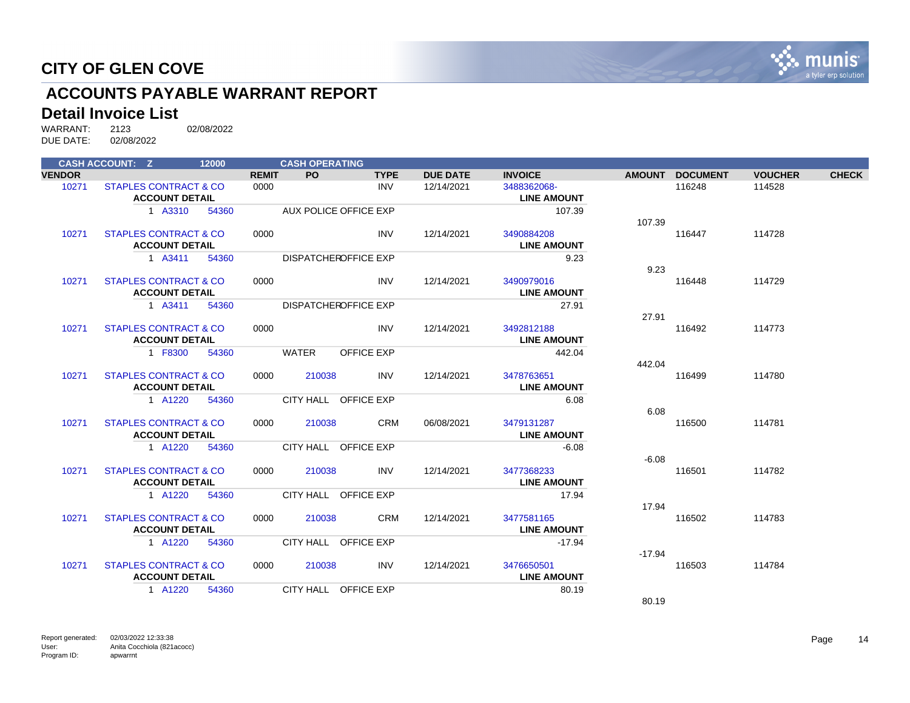

# **ACCOUNTS PAYABLE WARRANT REPORT**

#### **Detail Invoice List**

|               | <b>CASH ACCOUNT: Z</b>           | 12000 |              | <b>CASH OPERATING</b> |                             |                 |                    |               |                 |                |              |
|---------------|----------------------------------|-------|--------------|-----------------------|-----------------------------|-----------------|--------------------|---------------|-----------------|----------------|--------------|
| <b>VENDOR</b> |                                  |       | <b>REMIT</b> | <b>PO</b>             | <b>TYPE</b>                 | <b>DUE DATE</b> | <b>INVOICE</b>     | <b>AMOUNT</b> | <b>DOCUMENT</b> | <b>VOUCHER</b> | <b>CHECK</b> |
| 10271         | <b>STAPLES CONTRACT &amp; CO</b> |       | 0000         |                       | <b>INV</b>                  | 12/14/2021      | 3488362068-        |               | 116248          | 114528         |              |
|               | <b>ACCOUNT DETAIL</b>            |       |              |                       |                             |                 | <b>LINE AMOUNT</b> |               |                 |                |              |
|               | 1 A3310                          | 54360 |              |                       | AUX POLICE OFFICE EXP       |                 | 107.39             |               |                 |                |              |
|               |                                  |       |              |                       |                             |                 |                    | 107.39        |                 |                |              |
| 10271         | <b>STAPLES CONTRACT &amp; CO</b> |       | 0000         |                       | <b>INV</b>                  | 12/14/2021      | 3490884208         |               | 116447          | 114728         |              |
|               | <b>ACCOUNT DETAIL</b>            |       |              |                       |                             |                 | <b>LINE AMOUNT</b> |               |                 |                |              |
|               | 1 A3411                          | 54360 |              |                       | <b>DISPATCHEROFFICE EXP</b> |                 | 9.23               |               |                 |                |              |
|               |                                  |       |              |                       |                             |                 |                    | 9.23          |                 |                |              |
| 10271         | <b>STAPLES CONTRACT &amp; CO</b> |       | 0000         |                       | <b>INV</b>                  | 12/14/2021      | 3490979016         |               | 116448          | 114729         |              |
|               | <b>ACCOUNT DETAIL</b>            |       |              |                       |                             |                 | <b>LINE AMOUNT</b> |               |                 |                |              |
|               | 1 A3411                          | 54360 |              |                       | DISPATCHEROFFICE EXP        |                 | 27.91              |               |                 |                |              |
|               |                                  |       |              |                       |                             |                 |                    | 27.91         |                 |                |              |
| 10271         | <b>STAPLES CONTRACT &amp; CO</b> |       | 0000         |                       | <b>INV</b>                  | 12/14/2021      | 3492812188         |               | 116492          | 114773         |              |
|               | <b>ACCOUNT DETAIL</b>            |       |              |                       |                             |                 | <b>LINE AMOUNT</b> |               |                 |                |              |
|               | 1 F8300                          | 54360 |              | <b>WATER</b>          | <b>OFFICE EXP</b>           |                 | 442.04             |               |                 |                |              |
|               |                                  |       |              |                       |                             |                 |                    | 442.04        |                 |                |              |
| 10271         | <b>STAPLES CONTRACT &amp; CO</b> |       | 0000         | 210038                | INV                         | 12/14/2021      | 3478763651         |               | 116499          | 114780         |              |
|               | <b>ACCOUNT DETAIL</b>            |       |              |                       |                             |                 | <b>LINE AMOUNT</b> |               |                 |                |              |
|               | 1 A1220                          | 54360 |              |                       | CITY HALL OFFICE EXP        |                 | 6.08               |               |                 |                |              |
|               |                                  |       |              |                       |                             |                 |                    | 6.08          |                 |                |              |
| 10271         | <b>STAPLES CONTRACT &amp; CO</b> |       | 0000         | 210038                | <b>CRM</b>                  | 06/08/2021      | 3479131287         |               | 116500          | 114781         |              |
|               | <b>ACCOUNT DETAIL</b>            |       |              |                       |                             |                 | <b>LINE AMOUNT</b> |               |                 |                |              |
|               | 1 A1220                          | 54360 |              |                       | CITY HALL OFFICE EXP        |                 | $-6.08$            |               |                 |                |              |
|               |                                  |       |              |                       |                             |                 |                    | $-6.08$       |                 |                |              |
| 10271         | <b>STAPLES CONTRACT &amp; CO</b> |       | 0000         | 210038                | <b>INV</b>                  | 12/14/2021      | 3477368233         |               | 116501          | 114782         |              |
|               | <b>ACCOUNT DETAIL</b>            |       |              |                       |                             |                 | <b>LINE AMOUNT</b> |               |                 |                |              |
|               | 1 A1220                          | 54360 |              |                       | CITY HALL OFFICE EXP        |                 | 17.94              |               |                 |                |              |
|               |                                  |       |              |                       |                             |                 |                    | 17.94         |                 |                |              |
| 10271         | <b>STAPLES CONTRACT &amp; CO</b> |       | 0000         | 210038                | <b>CRM</b>                  | 12/14/2021      | 3477581165         |               | 116502          | 114783         |              |
|               | <b>ACCOUNT DETAIL</b>            |       |              |                       |                             |                 | <b>LINE AMOUNT</b> |               |                 |                |              |
|               | 1 A1220                          | 54360 |              |                       | CITY HALL OFFICE EXP        |                 | $-17.94$           |               |                 |                |              |
|               |                                  |       |              |                       |                             |                 |                    | $-17.94$      |                 |                |              |
| 10271         | <b>STAPLES CONTRACT &amp; CO</b> |       | 0000         | 210038                | INV                         | 12/14/2021      | 3476650501         |               | 116503          | 114784         |              |
|               | <b>ACCOUNT DETAIL</b>            |       |              |                       |                             |                 | <b>LINE AMOUNT</b> |               |                 |                |              |
|               | 1 A1220                          | 54360 |              |                       | CITY HALL OFFICE EXP        |                 | 80.19              |               |                 |                |              |
|               |                                  |       |              |                       |                             |                 |                    | 80.19         |                 |                |              |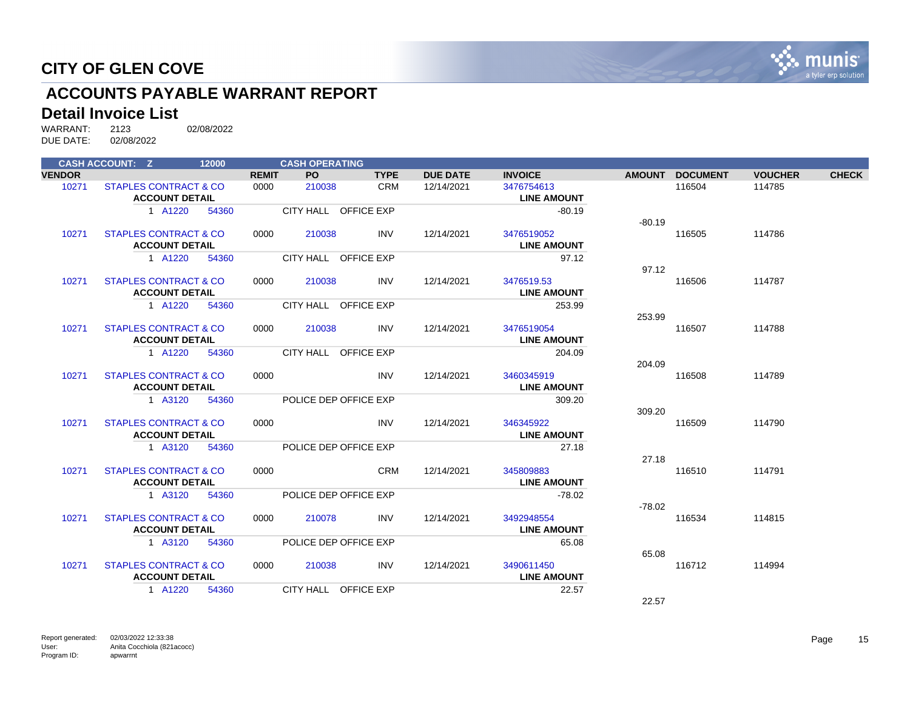

# **ACCOUNTS PAYABLE WARRANT REPORT**

#### **Detail Invoice List**

|               | <b>CASH ACCOUNT: Z</b>           | 12000 |              | <b>CASH OPERATING</b> |                       |                 |                    |               |                 |                |              |
|---------------|----------------------------------|-------|--------------|-----------------------|-----------------------|-----------------|--------------------|---------------|-----------------|----------------|--------------|
| <b>VENDOR</b> |                                  |       | <b>REMIT</b> | PO                    | <b>TYPE</b>           | <b>DUE DATE</b> | <b>INVOICE</b>     | <b>AMOUNT</b> | <b>DOCUMENT</b> | <b>VOUCHER</b> | <b>CHECK</b> |
| 10271         | <b>STAPLES CONTRACT &amp; CO</b> |       | 0000         | 210038                | <b>CRM</b>            | 12/14/2021      | 3476754613         |               | 116504          | 114785         |              |
|               | <b>ACCOUNT DETAIL</b>            |       |              |                       |                       |                 | <b>LINE AMOUNT</b> |               |                 |                |              |
|               | 1 A1220                          | 54360 |              |                       | CITY HALL OFFICE EXP  |                 | $-80.19$           |               |                 |                |              |
|               |                                  |       |              |                       |                       |                 |                    | $-80.19$      |                 |                |              |
| 10271         | <b>STAPLES CONTRACT &amp; CO</b> |       | 0000         | 210038                | <b>INV</b>            | 12/14/2021      | 3476519052         |               | 116505          | 114786         |              |
|               | <b>ACCOUNT DETAIL</b>            |       |              |                       |                       |                 | <b>LINE AMOUNT</b> |               |                 |                |              |
|               | 1 A1220                          | 54360 |              |                       | CITY HALL OFFICE EXP  |                 | 97.12              |               |                 |                |              |
|               |                                  |       |              |                       |                       |                 |                    | 97.12         |                 |                |              |
| 10271         | <b>STAPLES CONTRACT &amp; CO</b> |       | 0000         | 210038                | <b>INV</b>            | 12/14/2021      | 3476519.53         |               | 116506          | 114787         |              |
|               | <b>ACCOUNT DETAIL</b>            |       |              |                       |                       |                 | <b>LINE AMOUNT</b> |               |                 |                |              |
|               | 1 A1220                          | 54360 |              |                       | CITY HALL OFFICE EXP  |                 | 253.99             |               |                 |                |              |
|               |                                  |       |              |                       |                       |                 |                    | 253.99        |                 |                |              |
| 10271         | <b>STAPLES CONTRACT &amp; CO</b> |       | 0000         | 210038                | <b>INV</b>            | 12/14/2021      | 3476519054         |               | 116507          | 114788         |              |
|               | <b>ACCOUNT DETAIL</b>            |       |              |                       |                       |                 | <b>LINE AMOUNT</b> |               |                 |                |              |
|               | 1 A1220                          | 54360 |              |                       | CITY HALL OFFICE EXP  |                 | 204.09             |               |                 |                |              |
|               |                                  |       |              |                       |                       |                 |                    | 204.09        |                 |                |              |
| 10271         | <b>STAPLES CONTRACT &amp; CO</b> |       | 0000         |                       | <b>INV</b>            | 12/14/2021      | 3460345919         |               | 116508          | 114789         |              |
|               | <b>ACCOUNT DETAIL</b>            |       |              |                       |                       |                 | <b>LINE AMOUNT</b> |               |                 |                |              |
|               | 1 A3120                          | 54360 |              |                       | POLICE DEP OFFICE EXP |                 | 309.20             | 309.20        |                 |                |              |
| 10271         | <b>STAPLES CONTRACT &amp; CO</b> |       | 0000         |                       | <b>INV</b>            | 12/14/2021      | 346345922          |               | 116509          | 114790         |              |
|               | <b>ACCOUNT DETAIL</b>            |       |              |                       |                       |                 | <b>LINE AMOUNT</b> |               |                 |                |              |
|               | 1 A3120                          | 54360 |              |                       | POLICE DEP OFFICE EXP |                 | 27.18              |               |                 |                |              |
|               |                                  |       |              |                       |                       |                 |                    | 27.18         |                 |                |              |
| 10271         | <b>STAPLES CONTRACT &amp; CO</b> |       | 0000         |                       | <b>CRM</b>            | 12/14/2021      | 345809883          |               | 116510          | 114791         |              |
|               | <b>ACCOUNT DETAIL</b>            |       |              |                       |                       |                 | <b>LINE AMOUNT</b> |               |                 |                |              |
|               | 1 A3120                          | 54360 |              |                       | POLICE DEP OFFICE EXP |                 | $-78.02$           |               |                 |                |              |
|               |                                  |       |              |                       |                       |                 |                    | $-78.02$      |                 |                |              |
| 10271         | <b>STAPLES CONTRACT &amp; CO</b> |       | 0000         | 210078                | <b>INV</b>            | 12/14/2021      | 3492948554         |               | 116534          | 114815         |              |
|               | <b>ACCOUNT DETAIL</b>            |       |              |                       |                       |                 | <b>LINE AMOUNT</b> |               |                 |                |              |
|               | 1 A3120                          | 54360 |              |                       | POLICE DEP OFFICE EXP |                 | 65.08              |               |                 |                |              |
|               |                                  |       |              |                       |                       |                 |                    | 65.08         |                 |                |              |
| 10271         | <b>STAPLES CONTRACT &amp; CO</b> |       | 0000         | 210038                | INV                   | 12/14/2021      | 3490611450         |               | 116712          | 114994         |              |
|               | <b>ACCOUNT DETAIL</b>            |       |              |                       |                       |                 | <b>LINE AMOUNT</b> |               |                 |                |              |
|               | 1 A1220                          | 54360 |              |                       | CITY HALL OFFICE EXP  |                 | 22.57              |               |                 |                |              |
|               |                                  |       |              |                       |                       |                 |                    | 22.57         |                 |                |              |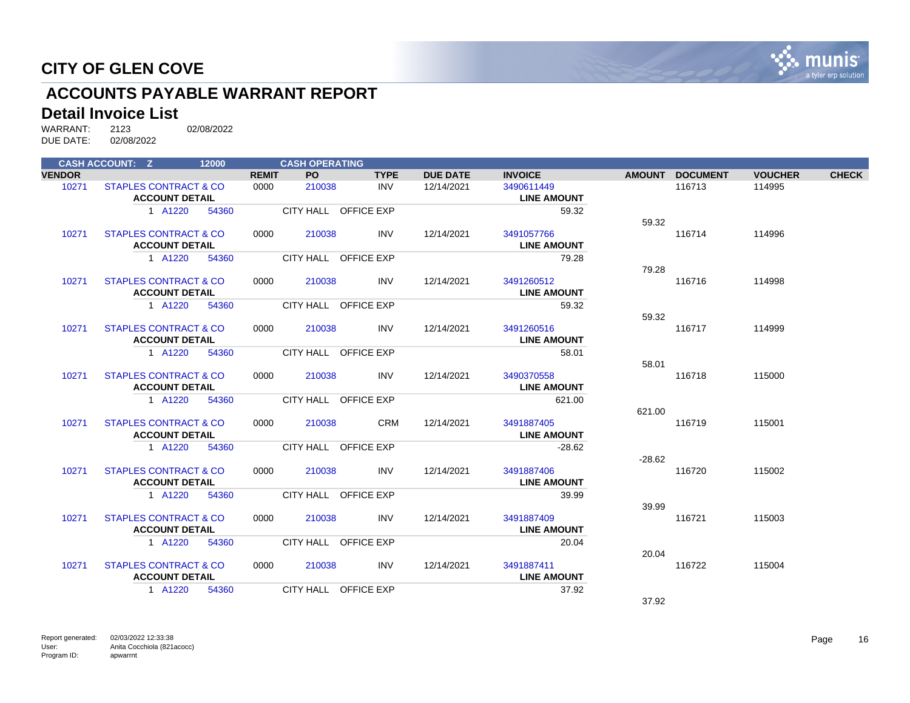

# **ACCOUNTS PAYABLE WARRANT REPORT**

#### **Detail Invoice List**

|               | <b>CASH ACCOUNT: Z</b>           | 12000 |              | <b>CASH OPERATING</b> |                      |                 |                    |               |                 |                |              |
|---------------|----------------------------------|-------|--------------|-----------------------|----------------------|-----------------|--------------------|---------------|-----------------|----------------|--------------|
| <b>VENDOR</b> |                                  |       | <b>REMIT</b> | <b>PO</b>             | <b>TYPE</b>          | <b>DUE DATE</b> | <b>INVOICE</b>     | <b>AMOUNT</b> | <b>DOCUMENT</b> | <b>VOUCHER</b> | <b>CHECK</b> |
| 10271         | <b>STAPLES CONTRACT &amp; CO</b> |       | 0000         | 210038                | <b>INV</b>           | 12/14/2021      | 3490611449         |               | 116713          | 114995         |              |
|               | <b>ACCOUNT DETAIL</b>            |       |              |                       |                      |                 | <b>LINE AMOUNT</b> |               |                 |                |              |
|               | 1 A1220                          | 54360 |              |                       | CITY HALL OFFICE EXP |                 | 59.32              |               |                 |                |              |
|               |                                  |       |              |                       |                      |                 |                    | 59.32         |                 |                |              |
| 10271         | <b>STAPLES CONTRACT &amp; CO</b> |       | 0000         | 210038                | <b>INV</b>           | 12/14/2021      | 3491057766         |               | 116714          | 114996         |              |
|               | <b>ACCOUNT DETAIL</b>            |       |              |                       |                      |                 | <b>LINE AMOUNT</b> |               |                 |                |              |
|               | 1 A1220                          | 54360 |              |                       | CITY HALL OFFICE EXP |                 | 79.28              |               |                 |                |              |
|               |                                  |       |              |                       |                      |                 |                    | 79.28         |                 |                |              |
| 10271         | STAPLES CONTRACT & CO            |       | 0000         | 210038                | <b>INV</b>           | 12/14/2021      | 3491260512         |               | 116716          | 114998         |              |
|               | <b>ACCOUNT DETAIL</b>            |       |              |                       |                      |                 | <b>LINE AMOUNT</b> |               |                 |                |              |
|               | 1 A1220                          | 54360 |              |                       | CITY HALL OFFICE EXP |                 | 59.32              |               |                 |                |              |
|               |                                  |       |              |                       |                      |                 |                    | 59.32         |                 |                |              |
| 10271         | <b>STAPLES CONTRACT &amp; CO</b> |       | 0000         | 210038                | <b>INV</b>           | 12/14/2021      | 3491260516         |               | 116717          | 114999         |              |
|               | <b>ACCOUNT DETAIL</b>            |       |              |                       |                      |                 | <b>LINE AMOUNT</b> |               |                 |                |              |
|               | 1 A1220                          | 54360 |              |                       | CITY HALL OFFICE EXP |                 | 58.01              |               |                 |                |              |
|               |                                  |       |              |                       |                      |                 |                    | 58.01         |                 |                |              |
| 10271         | <b>STAPLES CONTRACT &amp; CO</b> |       | 0000         | 210038                | <b>INV</b>           | 12/14/2021      | 3490370558         |               | 116718          | 115000         |              |
|               | <b>ACCOUNT DETAIL</b>            |       |              |                       |                      |                 | <b>LINE AMOUNT</b> |               |                 |                |              |
|               | 1 A1220                          | 54360 |              |                       | CITY HALL OFFICE EXP |                 | 621.00             |               |                 |                |              |
|               |                                  |       |              |                       |                      |                 |                    | 621.00        |                 |                |              |
| 10271         | <b>STAPLES CONTRACT &amp; CO</b> |       | 0000         | 210038                | <b>CRM</b>           | 12/14/2021      | 3491887405         |               | 116719          | 115001         |              |
|               | <b>ACCOUNT DETAIL</b>            |       |              |                       |                      |                 | <b>LINE AMOUNT</b> |               |                 |                |              |
|               | 1 A1220                          | 54360 |              |                       | CITY HALL OFFICE EXP |                 | $-28.62$           |               |                 |                |              |
|               |                                  |       |              |                       |                      |                 |                    | $-28.62$      |                 |                |              |
| 10271         | <b>STAPLES CONTRACT &amp; CO</b> |       | 0000         | 210038                | <b>INV</b>           | 12/14/2021      | 3491887406         |               | 116720          | 115002         |              |
|               | <b>ACCOUNT DETAIL</b>            |       |              |                       |                      |                 | <b>LINE AMOUNT</b> |               |                 |                |              |
|               | 1 A1220                          | 54360 |              |                       | CITY HALL OFFICE EXP |                 | 39.99              |               |                 |                |              |
|               |                                  |       |              |                       |                      |                 |                    | 39.99         |                 |                |              |
| 10271         | <b>STAPLES CONTRACT &amp; CO</b> |       | 0000         | 210038                | <b>INV</b>           | 12/14/2021      | 3491887409         |               | 116721          | 115003         |              |
|               | <b>ACCOUNT DETAIL</b>            |       |              |                       |                      |                 | <b>LINE AMOUNT</b> |               |                 |                |              |
|               | 1 A1220                          | 54360 |              |                       | CITY HALL OFFICE EXP |                 | 20.04              |               |                 |                |              |
|               |                                  |       |              |                       |                      |                 |                    | 20.04         |                 |                |              |
| 10271         | <b>STAPLES CONTRACT &amp; CO</b> |       | 0000         | 210038                | <b>INV</b>           | 12/14/2021      | 3491887411         |               | 116722          | 115004         |              |
|               | <b>ACCOUNT DETAIL</b>            |       |              |                       |                      |                 | <b>LINE AMOUNT</b> |               |                 |                |              |
|               | 1 A1220                          | 54360 |              |                       | CITY HALL OFFICE EXP |                 | 37.92              |               |                 |                |              |
|               |                                  |       |              |                       |                      |                 |                    | 37.92         |                 |                |              |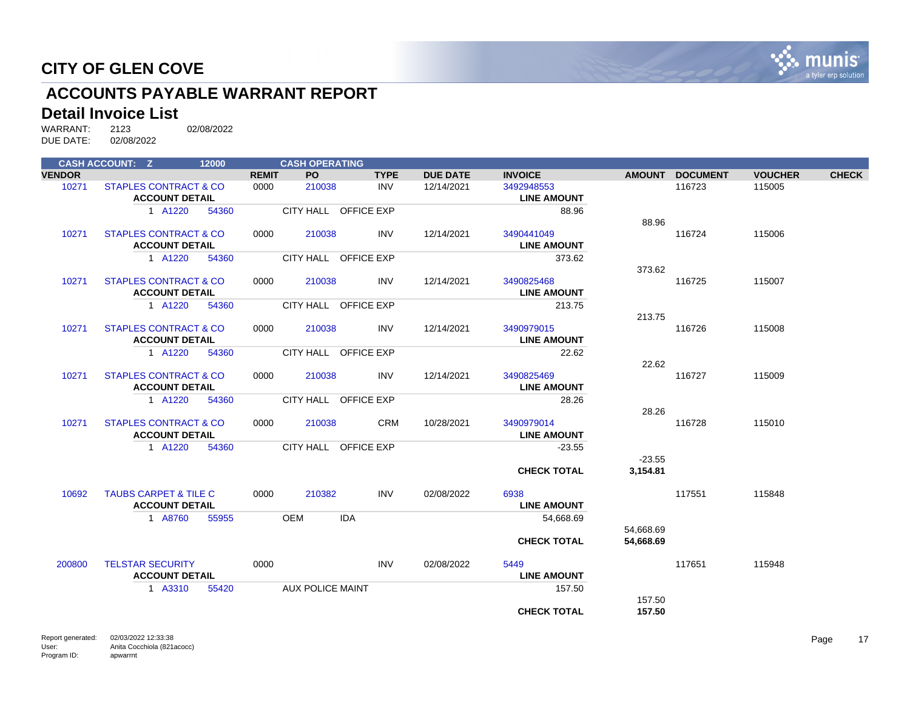

# **ACCOUNTS PAYABLE WARRANT REPORT**

#### **Detail Invoice List**

|               | <b>CASH ACCOUNT: Z</b>           | 12000 |              | <b>CASH OPERATING</b>   |                      |                 |                    |               |                 |                |              |
|---------------|----------------------------------|-------|--------------|-------------------------|----------------------|-----------------|--------------------|---------------|-----------------|----------------|--------------|
| <b>VENDOR</b> |                                  |       | <b>REMIT</b> | <b>PO</b>               | <b>TYPE</b>          | <b>DUE DATE</b> | <b>INVOICE</b>     | <b>AMOUNT</b> | <b>DOCUMENT</b> | <b>VOUCHER</b> | <b>CHECK</b> |
| 10271         | <b>STAPLES CONTRACT &amp; CO</b> |       | 0000         | 210038                  | <b>INV</b>           | 12/14/2021      | 3492948553         |               | 116723          | 115005         |              |
|               | <b>ACCOUNT DETAIL</b>            |       |              |                         |                      |                 | <b>LINE AMOUNT</b> |               |                 |                |              |
|               | 1 A1220                          | 54360 |              |                         | CITY HALL OFFICE EXP |                 | 88.96              |               |                 |                |              |
|               |                                  |       |              |                         |                      |                 |                    | 88.96         |                 |                |              |
| 10271         | <b>STAPLES CONTRACT &amp; CO</b> |       | 0000         | 210038                  | <b>INV</b>           | 12/14/2021      | 3490441049         |               | 116724          | 115006         |              |
|               | <b>ACCOUNT DETAIL</b>            |       |              |                         |                      |                 | <b>LINE AMOUNT</b> |               |                 |                |              |
|               | 1 A1220                          | 54360 |              |                         | CITY HALL OFFICE EXP |                 | 373.62             |               |                 |                |              |
|               |                                  |       |              |                         |                      |                 |                    | 373.62        |                 |                |              |
| 10271         | <b>STAPLES CONTRACT &amp; CO</b> |       | 0000         | 210038                  | <b>INV</b>           | 12/14/2021      | 3490825468         |               | 116725          | 115007         |              |
|               | <b>ACCOUNT DETAIL</b>            |       |              |                         |                      |                 | <b>LINE AMOUNT</b> |               |                 |                |              |
|               | 1 A1220                          | 54360 |              |                         | CITY HALL OFFICE EXP |                 | 213.75             |               |                 |                |              |
|               |                                  |       |              |                         |                      |                 |                    | 213.75        |                 |                |              |
| 10271         | <b>STAPLES CONTRACT &amp; CO</b> |       | 0000         | 210038                  | <b>INV</b>           | 12/14/2021      | 3490979015         |               | 116726          | 115008         |              |
|               | <b>ACCOUNT DETAIL</b>            |       |              |                         |                      |                 | <b>LINE AMOUNT</b> |               |                 |                |              |
|               | 1 A1220                          | 54360 |              |                         | CITY HALL OFFICE EXP |                 | 22.62              |               |                 |                |              |
|               |                                  |       |              |                         |                      |                 |                    | 22.62         |                 |                |              |
| 10271         | <b>STAPLES CONTRACT &amp; CO</b> |       | 0000         | 210038                  | <b>INV</b>           | 12/14/2021      | 3490825469         |               | 116727          | 115009         |              |
|               | <b>ACCOUNT DETAIL</b>            |       |              |                         |                      |                 | <b>LINE AMOUNT</b> |               |                 |                |              |
|               | 1 A1220                          | 54360 |              |                         | CITY HALL OFFICE EXP |                 | 28.26              |               |                 |                |              |
|               |                                  |       |              |                         |                      |                 |                    | 28.26         |                 |                |              |
| 10271         | <b>STAPLES CONTRACT &amp; CO</b> |       | 0000         | 210038                  | <b>CRM</b>           | 10/28/2021      | 3490979014         |               | 116728          | 115010         |              |
|               | <b>ACCOUNT DETAIL</b>            |       |              |                         |                      |                 | <b>LINE AMOUNT</b> |               |                 |                |              |
|               | 1 A1220                          | 54360 |              |                         | CITY HALL OFFICE EXP |                 | $-23.55$           |               |                 |                |              |
|               |                                  |       |              |                         |                      |                 |                    | $-23.55$      |                 |                |              |
|               |                                  |       |              |                         |                      |                 | <b>CHECK TOTAL</b> | 3,154.81      |                 |                |              |
|               |                                  |       |              |                         |                      |                 |                    |               |                 |                |              |
| 10692         | <b>TAUBS CARPET &amp; TILE C</b> |       | 0000         | 210382                  | <b>INV</b>           | 02/08/2022      | 6938               |               | 117551          | 115848         |              |
|               | <b>ACCOUNT DETAIL</b>            |       |              |                         |                      |                 | <b>LINE AMOUNT</b> |               |                 |                |              |
|               | 1 A8760                          | 55955 |              | <b>OEM</b>              | <b>IDA</b>           |                 | 54,668.69          |               |                 |                |              |
|               |                                  |       |              |                         |                      |                 |                    | 54,668.69     |                 |                |              |
|               |                                  |       |              |                         |                      |                 | <b>CHECK TOTAL</b> | 54,668.69     |                 |                |              |
|               |                                  |       |              |                         |                      |                 |                    |               |                 |                |              |
| 200800        | <b>TELSTAR SECURITY</b>          |       | 0000         |                         | <b>INV</b>           | 02/08/2022      | 5449               |               | 117651          | 115948         |              |
|               | <b>ACCOUNT DETAIL</b>            |       |              |                         |                      |                 | <b>LINE AMOUNT</b> |               |                 |                |              |
|               | 1 A3310                          | 55420 |              | <b>AUX POLICE MAINT</b> |                      |                 | 157.50             |               |                 |                |              |
|               |                                  |       |              |                         |                      |                 |                    | 157.50        |                 |                |              |
|               |                                  |       |              |                         |                      |                 | <b>CHECK TOTAL</b> | 157.50        |                 |                |              |
|               |                                  |       |              |                         |                      |                 |                    |               |                 |                |              |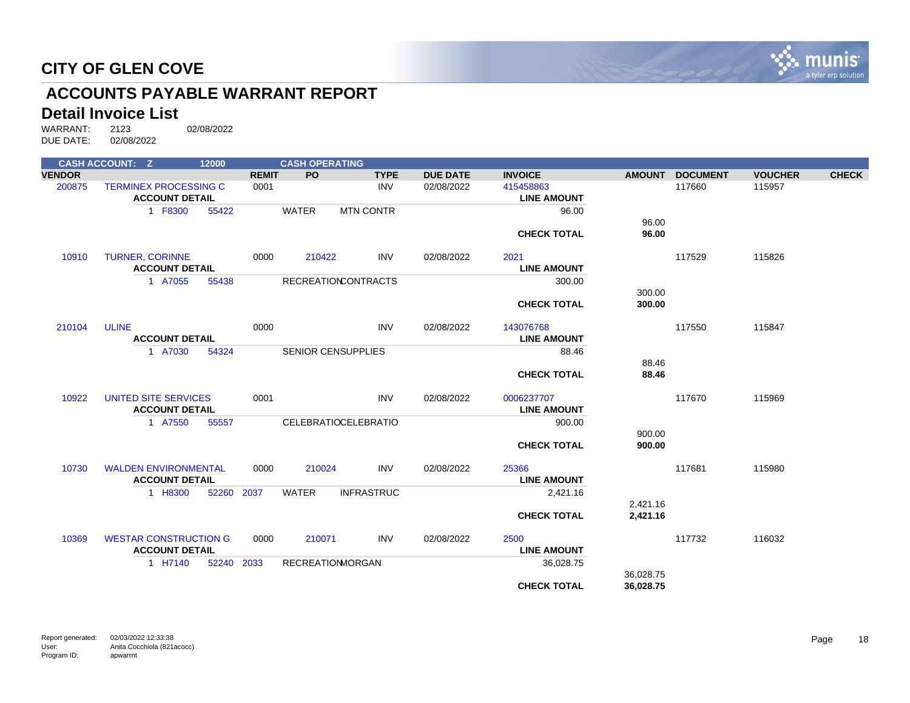

# **ACCOUNTS PAYABLE WARRANT REPORT**

#### **Detail Invoice List**

|               | <b>CASH ACCOUNT: Z</b>                                | 12000      |              | <b>CASH OPERATING</b>   |                             |                 |                                 |               |                 |                |              |
|---------------|-------------------------------------------------------|------------|--------------|-------------------------|-----------------------------|-----------------|---------------------------------|---------------|-----------------|----------------|--------------|
| <b>VENDOR</b> |                                                       |            | <b>REMIT</b> | <b>PO</b>               | <b>TYPE</b>                 | <b>DUE DATE</b> | <b>INVOICE</b>                  | <b>AMOUNT</b> | <b>DOCUMENT</b> | <b>VOUCHER</b> | <b>CHECK</b> |
| 200875        | <b>TERMINEX PROCESSING C</b><br><b>ACCOUNT DETAIL</b> |            | 0001         |                         | <b>INV</b>                  | 02/08/2022      | 415458863<br><b>LINE AMOUNT</b> |               | 117660          | 115957         |              |
|               | 1 F8300                                               | 55422      |              | <b>WATER</b>            | <b>MTN CONTR</b>            |                 | 96.00                           |               |                 |                |              |
|               |                                                       |            |              |                         |                             |                 |                                 | 96.00         |                 |                |              |
|               |                                                       |            |              |                         |                             |                 | <b>CHECK TOTAL</b>              | 96.00         |                 |                |              |
| 10910         | <b>TURNER, CORINNE</b>                                |            | 0000         | 210422                  | <b>INV</b>                  | 02/08/2022      | 2021                            |               | 117529          | 115826         |              |
|               | <b>ACCOUNT DETAIL</b>                                 |            |              |                         |                             |                 | <b>LINE AMOUNT</b>              |               |                 |                |              |
|               | 1 A7055                                               | 55438      |              |                         | <b>RECREATIONCONTRACTS</b>  |                 | 300.00                          |               |                 |                |              |
|               |                                                       |            |              |                         |                             |                 |                                 | 300.00        |                 |                |              |
|               |                                                       |            |              |                         |                             |                 | <b>CHECK TOTAL</b>              | 300.00        |                 |                |              |
| 210104        | <b>ULINE</b>                                          |            | 0000         |                         | <b>INV</b>                  | 02/08/2022      | 143076768                       |               | 117550          | 115847         |              |
|               | <b>ACCOUNT DETAIL</b>                                 |            |              |                         |                             |                 | <b>LINE AMOUNT</b>              |               |                 |                |              |
|               | 1 A7030                                               | 54324      |              |                         | <b>SENIOR CENSUPPLIES</b>   |                 | 88.46                           |               |                 |                |              |
|               |                                                       |            |              |                         |                             |                 |                                 | 88.46         |                 |                |              |
|               |                                                       |            |              |                         |                             |                 | <b>CHECK TOTAL</b>              | 88.46         |                 |                |              |
| 10922         | UNITED SITE SERVICES                                  |            | 0001         |                         | <b>INV</b>                  | 02/08/2022      | 0006237707                      |               | 117670          | 115969         |              |
|               | <b>ACCOUNT DETAIL</b>                                 |            |              |                         |                             |                 | <b>LINE AMOUNT</b>              |               |                 |                |              |
|               | 1 A7550                                               | 55557      |              |                         | <b>CELEBRATIOCELEBRATIO</b> |                 | 900.00                          |               |                 |                |              |
|               |                                                       |            |              |                         |                             |                 |                                 | 900.00        |                 |                |              |
|               |                                                       |            |              |                         |                             |                 | <b>CHECK TOTAL</b>              | 900.00        |                 |                |              |
| 10730         | <b>WALDEN ENVIRONMENTAL</b>                           |            | 0000         | 210024                  | <b>INV</b>                  | 02/08/2022      | 25366                           |               | 117681          | 115980         |              |
|               | <b>ACCOUNT DETAIL</b>                                 |            |              |                         |                             |                 | <b>LINE AMOUNT</b>              |               |                 |                |              |
|               | 1 H8300                                               | 52260      | 2037         | <b>WATER</b>            | <b>INFRASTRUC</b>           |                 | 2,421.16                        |               |                 |                |              |
|               |                                                       |            |              |                         |                             |                 |                                 | 2,421.16      |                 |                |              |
|               |                                                       |            |              |                         |                             |                 | <b>CHECK TOTAL</b>              | 2,421.16      |                 |                |              |
| 10369         | <b>WESTAR CONSTRUCTION G</b>                          |            | 0000         | 210071                  | <b>INV</b>                  | 02/08/2022      | 2500                            |               | 117732          | 116032         |              |
|               | <b>ACCOUNT DETAIL</b>                                 |            |              |                         |                             |                 | <b>LINE AMOUNT</b>              |               |                 |                |              |
|               | 1 H7140                                               | 52240 2033 |              | <b>RECREATIONMORGAN</b> |                             |                 | 36,028.75                       |               |                 |                |              |
|               |                                                       |            |              |                         |                             |                 |                                 | 36,028.75     |                 |                |              |
|               |                                                       |            |              |                         |                             |                 | <b>CHECK TOTAL</b>              | 36,028.75     |                 |                |              |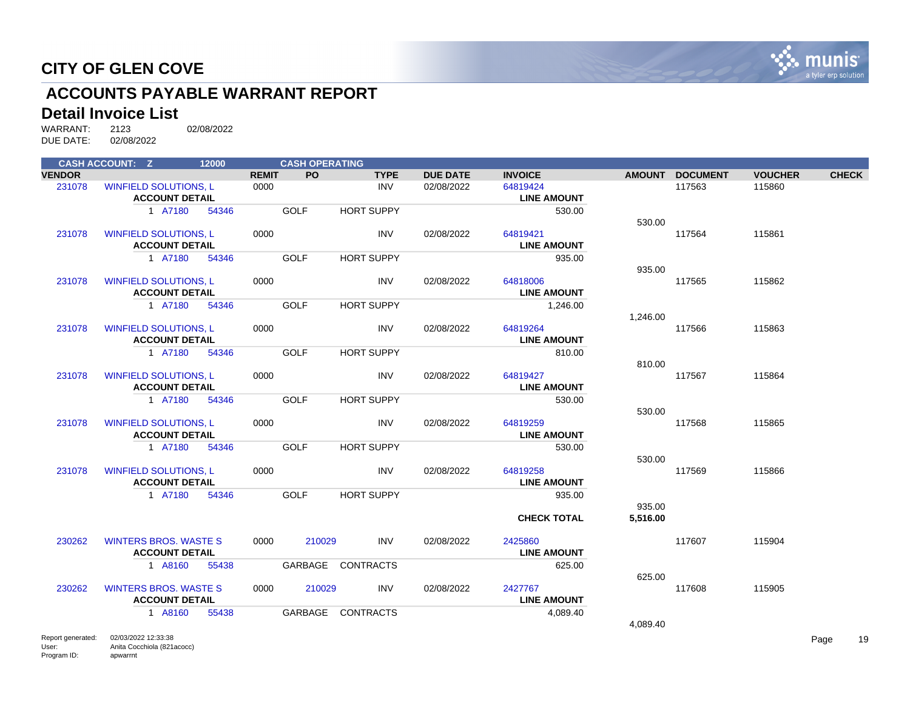

# **ACCOUNTS PAYABLE WARRANT REPORT**

#### **Detail Invoice List**

|               | <b>CASH ACCOUNT: Z</b>                                | 12000 |              | <b>CASH OPERATING</b> |                   |                 |                                |               |                 |                |              |
|---------------|-------------------------------------------------------|-------|--------------|-----------------------|-------------------|-----------------|--------------------------------|---------------|-----------------|----------------|--------------|
| <b>VENDOR</b> |                                                       |       | <b>REMIT</b> | <b>PO</b>             | <b>TYPE</b>       | <b>DUE DATE</b> | <b>INVOICE</b>                 | <b>AMOUNT</b> | <b>DOCUMENT</b> | <b>VOUCHER</b> | <b>CHECK</b> |
| 231078        | <b>WINFIELD SOLUTIONS, L</b><br><b>ACCOUNT DETAIL</b> |       | 0000         |                       | <b>INV</b>        | 02/08/2022      | 64819424<br><b>LINE AMOUNT</b> |               | 117563          | 115860         |              |
|               | 1 A7180                                               | 54346 |              | <b>GOLF</b>           | <b>HORT SUPPY</b> |                 | 530.00                         | 530.00        |                 |                |              |
| 231078        | <b>WINFIELD SOLUTIONS, L</b><br><b>ACCOUNT DETAIL</b> |       | 0000         |                       | <b>INV</b>        | 02/08/2022      | 64819421<br><b>LINE AMOUNT</b> |               | 117564          | 115861         |              |
|               | 1 A7180                                               | 54346 |              | <b>GOLF</b>           | <b>HORT SUPPY</b> |                 | 935.00                         | 935.00        |                 |                |              |
| 231078        | <b>WINFIELD SOLUTIONS, L</b><br><b>ACCOUNT DETAIL</b> |       | 0000         |                       | <b>INV</b>        | 02/08/2022      | 64818006<br><b>LINE AMOUNT</b> |               | 117565          | 115862         |              |
|               | 1 A7180                                               | 54346 |              | <b>GOLF</b>           | <b>HORT SUPPY</b> |                 | 1,246.00                       | 1,246.00      |                 |                |              |
| 231078        | <b>WINFIELD SOLUTIONS, L</b><br><b>ACCOUNT DETAIL</b> |       | 0000         |                       | <b>INV</b>        | 02/08/2022      | 64819264<br><b>LINE AMOUNT</b> |               | 117566          | 115863         |              |
|               | 1 A7180                                               | 54346 |              | <b>GOLF</b>           | <b>HORT SUPPY</b> |                 | 810.00                         | 810.00        |                 |                |              |
| 231078        | <b>WINFIELD SOLUTIONS, L</b><br><b>ACCOUNT DETAIL</b> |       | 0000         |                       | <b>INV</b>        | 02/08/2022      | 64819427<br><b>LINE AMOUNT</b> |               | 117567          | 115864         |              |
|               | 1 A7180                                               | 54346 |              | <b>GOLF</b>           | <b>HORT SUPPY</b> |                 | 530.00                         | 530.00        |                 |                |              |
| 231078        | <b>WINFIELD SOLUTIONS, L</b><br><b>ACCOUNT DETAIL</b> |       | 0000         |                       | <b>INV</b>        | 02/08/2022      | 64819259<br><b>LINE AMOUNT</b> |               | 117568          | 115865         |              |
|               | 1 A7180                                               | 54346 |              | <b>GOLF</b>           | <b>HORT SUPPY</b> |                 | 530.00                         | 530.00        |                 |                |              |
| 231078        | <b>WINFIELD SOLUTIONS, L</b><br><b>ACCOUNT DETAIL</b> |       | 0000         |                       | <b>INV</b>        | 02/08/2022      | 64819258<br><b>LINE AMOUNT</b> |               | 117569          | 115866         |              |
|               | 1 A7180                                               | 54346 |              | <b>GOLF</b>           | <b>HORT SUPPY</b> |                 | 935.00                         | 935.00        |                 |                |              |
|               |                                                       |       |              |                       |                   |                 | <b>CHECK TOTAL</b>             | 5,516.00      |                 |                |              |
| 230262        | <b>WINTERS BROS, WASTE S</b><br><b>ACCOUNT DETAIL</b> |       | 0000         | 210029                | <b>INV</b>        | 02/08/2022      | 2425860<br><b>LINE AMOUNT</b>  |               | 117607          | 115904         |              |
|               | 1 A8160                                               | 55438 |              | GARBAGE               | <b>CONTRACTS</b>  |                 | 625.00                         | 625.00        |                 |                |              |
| 230262        | <b>WINTERS BROS, WASTE S</b><br><b>ACCOUNT DETAIL</b> |       | 0000         | 210029                | <b>INV</b>        | 02/08/2022      | 2427767<br><b>LINE AMOUNT</b>  |               | 117608          | 115905         |              |
|               | 1 A8160                                               | 55438 |              | GARBAGE               | <b>CONTRACTS</b>  |                 | 4,089.40                       |               |                 |                |              |
|               |                                                       |       |              |                       |                   |                 |                                | 4,089.40      |                 |                |              |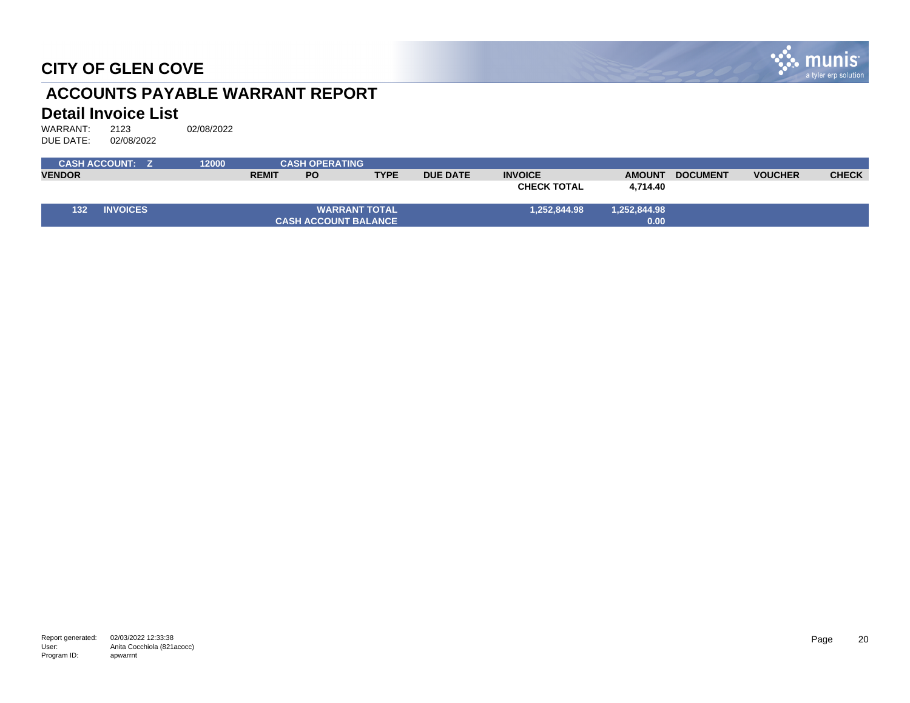

# **ACCOUNTS PAYABLE WARRANT REPORT**

#### **Detail Invoice List**

|               | <b>CASH ACCOUNT: Z</b> | 12000 |              | <b>CASH OPERATING</b> |                             |                 |                    |               |                 |                |              |
|---------------|------------------------|-------|--------------|-----------------------|-----------------------------|-----------------|--------------------|---------------|-----------------|----------------|--------------|
| <b>VENDOR</b> |                        |       | <b>REMIT</b> | <b>PO</b>             | <b>TYPE</b>                 | <b>DUE DATE</b> | <b>INVOICE</b>     | <b>AMOUNT</b> | <b>DOCUMENT</b> | <b>VOUCHER</b> | <b>CHECK</b> |
|               |                        |       |              |                       |                             |                 | <b>CHECK TOTAL</b> | 4,714.40      |                 |                |              |
| 132           | <b>INVOICES</b>        |       |              |                       | <b>WARRANT TOTAL</b>        |                 | 1,252,844.98       | 1,252,844.98  |                 |                |              |
|               |                        |       |              |                       | <b>CASH ACCOUNT BALANCE</b> |                 |                    | 0.00          |                 |                |              |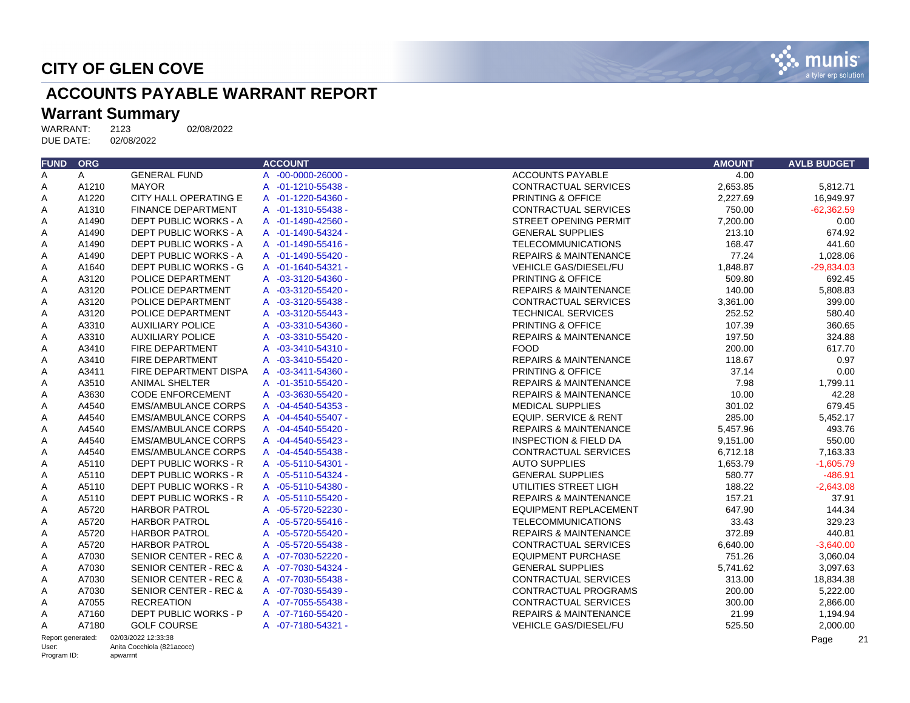

# **ACCOUNTS PAYABLE WARRANT REPORT**

# Warrant Summary<br>WARRANT: 2123

WARRANT: 2123 02/08/2022<br>DUE DATE: 02/08/2022 DUE DATE:

| <b>FUND</b>       | <b>ORG</b>   |                                  | <b>ACCOUNT</b>              | <b>AMOUNT</b>                                | <b>AVLB BUDGET</b> |
|-------------------|--------------|----------------------------------|-----------------------------|----------------------------------------------|--------------------|
| A                 | $\mathsf{A}$ | <b>GENERAL FUND</b>              | A -00-0000-26000 -          | <b>ACCOUNTS PAYABLE</b><br>4.00              |                    |
| Α                 | A1210        | <b>MAYOR</b>                     | A -01-1210-55438 -          | 2,653.85<br><b>CONTRACTUAL SERVICES</b>      | 5,812.71           |
| Α                 | A1220        | CITY HALL OPERATING E            | A -01-1220-54360 -          | PRINTING & OFFICE<br>2,227.69                | 16,949.97          |
| A                 | A1310        | <b>FINANCE DEPARTMENT</b>        | A -01-1310-55438 -          | 750.00<br><b>CONTRACTUAL SERVICES</b>        | $-62.362.59$       |
| Α                 | A1490        | DEPT PUBLIC WORKS - A            | A -01-1490-42560 -          | <b>STREET OPENING PERMIT</b><br>7,200.00     | 0.00               |
| Α                 | A1490        | <b>DEPT PUBLIC WORKS - A</b>     | A -01-1490-54324 -          | <b>GENERAL SUPPLIES</b><br>213.10            | 674.92             |
| Α                 | A1490        | DEPT PUBLIC WORKS - A            | A -01-1490-55416 -          | <b>TELECOMMUNICATIONS</b><br>168.47          | 441.60             |
| Α                 | A1490        | DEPT PUBLIC WORKS - A            | A -01-1490-55420 -          | 77.24<br><b>REPAIRS &amp; MAINTENANCE</b>    | 1,028.06           |
| Α                 | A1640        | DEPT PUBLIC WORKS - G            | A -01-1640-54321 -          | <b>VEHICLE GAS/DIESEL/FU</b><br>1,848.87     | $-29,834.03$       |
| Α                 | A3120        | POLICE DEPARTMENT                | A -03-3120-54360 -          | PRINTING & OFFICE<br>509.80                  | 692.45             |
| Α                 | A3120        | POLICE DEPARTMENT                | A -03-3120-55420 -          | <b>REPAIRS &amp; MAINTENANCE</b><br>140.00   | 5,808.83           |
| Α                 | A3120        | POLICE DEPARTMENT                | A -03-3120-55438 -          | <b>CONTRACTUAL SERVICES</b><br>3,361.00      | 399.00             |
| A                 | A3120        | POLICE DEPARTMENT                | A -03-3120-55443 -          | 252.52<br><b>TECHNICAL SERVICES</b>          | 580.40             |
| Α                 | A3310        | <b>AUXILIARY POLICE</b>          | A -03-3310-54360 -          | PRINTING & OFFICE<br>107.39                  | 360.65             |
| Α                 | A3310        | <b>AUXILIARY POLICE</b>          | $-03 - 3310 - 55420 -$<br>A | <b>REPAIRS &amp; MAINTENANCE</b><br>197.50   | 324.88             |
| Α                 | A3410        | FIRE DEPARTMENT                  | A -03-3410-54310 -          | <b>FOOD</b><br>200.00                        | 617.70             |
| Α                 | A3410        | FIRE DEPARTMENT                  | A -03-3410-55420 -          | <b>REPAIRS &amp; MAINTENANCE</b><br>118.67   | 0.97               |
| Α                 | A3411        | FIRE DEPARTMENT DISPA            | A -03-3411-54360 -          | 37.14<br>PRINTING & OFFICE                   | 0.00               |
| Α                 | A3510        | <b>ANIMAL SHELTER</b>            | A -01-3510-55420 -          | <b>REPAIRS &amp; MAINTENANCE</b><br>7.98     | 1,799.11           |
| Α                 | A3630        | <b>CODE ENFORCEMENT</b>          | A -03-3630-55420 -          | <b>REPAIRS &amp; MAINTENANCE</b><br>10.00    | 42.28              |
| Α                 | A4540        | <b>EMS/AMBULANCE CORPS</b>       | A -04-4540-54353 -          | <b>MEDICAL SUPPLIES</b><br>301.02            | 679.45             |
| A                 | A4540        | <b>EMS/AMBULANCE CORPS</b>       | A -04-4540-55407 -          | <b>EQUIP. SERVICE &amp; RENT</b><br>285.00   | 5,452.17           |
| Α                 | A4540        | <b>EMS/AMBULANCE CORPS</b>       | A -04-4540-55420 -          | 5,457.96<br><b>REPAIRS &amp; MAINTENANCE</b> | 493.76             |
| Α                 | A4540        | <b>EMS/AMBULANCE CORPS</b>       | A -04-4540-55423 -          | <b>INSPECTION &amp; FIELD DA</b><br>9,151.00 | 550.00             |
| Α                 | A4540        | <b>EMS/AMBULANCE CORPS</b>       | A -04-4540-55438 -          | <b>CONTRACTUAL SERVICES</b><br>6,712.18      | 7,163.33           |
| Α                 | A5110        | DEPT PUBLIC WORKS - R            | A -05-5110-54301 -          | <b>AUTO SUPPLIES</b><br>1,653.79             | $-1,605.79$        |
| Α                 | A5110        | DEPT PUBLIC WORKS - R            | A -05-5110-54324 -          | <b>GENERAL SUPPLIES</b><br>580.77            | $-486.91$          |
| Α                 | A5110        | DEPT PUBLIC WORKS - R            | A -05-5110-54380 -          | UTILITIES STREET LIGH<br>188.22              | $-2.643.08$        |
| Α                 | A5110        | <b>DEPT PUBLIC WORKS - R</b>     | A -05-5110-55420 -          | <b>REPAIRS &amp; MAINTENANCE</b><br>157.21   | 37.91              |
| Α                 | A5720        | <b>HARBOR PATROL</b>             | A -05-5720-52230 -          | 647.90<br><b>EQUIPMENT REPLACEMENT</b>       | 144.34             |
| A                 | A5720        | <b>HARBOR PATROL</b>             | $-05 - 5720 - 55416 -$<br>A | 33.43<br><b>TELECOMMUNICATIONS</b>           | 329.23             |
| Α                 | A5720        | <b>HARBOR PATROL</b>             | A -05-5720-55420 -          | 372.89<br><b>REPAIRS &amp; MAINTENANCE</b>   | 440.81             |
| A                 | A5720        | <b>HARBOR PATROL</b>             | A -05-5720-55438 -          | <b>CONTRACTUAL SERVICES</b><br>6,640.00      | $-3,640.00$        |
| Α                 | A7030        | <b>SENIOR CENTER - REC &amp;</b> | A -07-7030-52220 -          | <b>EQUIPMENT PURCHASE</b><br>751.26          | 3,060.04           |
| Α                 | A7030        | <b>SENIOR CENTER - REC &amp;</b> | A -07-7030-54324 -          | <b>GENERAL SUPPLIES</b><br>5,741.62          | 3,097.63           |
| A                 | A7030        | <b>SENIOR CENTER - REC &amp;</b> | A -07-7030-55438 -          | 313.00<br><b>CONTRACTUAL SERVICES</b>        | 18,834.38          |
| Α                 | A7030        | <b>SENIOR CENTER - REC &amp;</b> | A -07-7030-55439 -          | 200.00<br><b>CONTRACTUAL PROGRAMS</b>        | 5,222.00           |
| Α                 | A7055        | <b>RECREATION</b>                | A -07-7055-55438 -          | <b>CONTRACTUAL SERVICES</b><br>300.00        | 2,866.00           |
| Α                 | A7160        | <b>DEPT PUBLIC WORKS - P</b>     | A -07-7160-55420 -          | 21.99<br><b>REPAIRS &amp; MAINTENANCE</b>    | 1,194.94           |
| $\mathsf{A}$      | A7180        | <b>GOLF COURSE</b>               | A -07-7180-54321 -          | <b>VEHICLE GAS/DIESEL/FU</b><br>525.50       | 2.000.00           |
| Report generated: |              | 02/03/2022 12:33:38              |                             |                                              | Page               |

User: Program ID: Anita Cocchiola (821acocc) apwarrnt

Page 21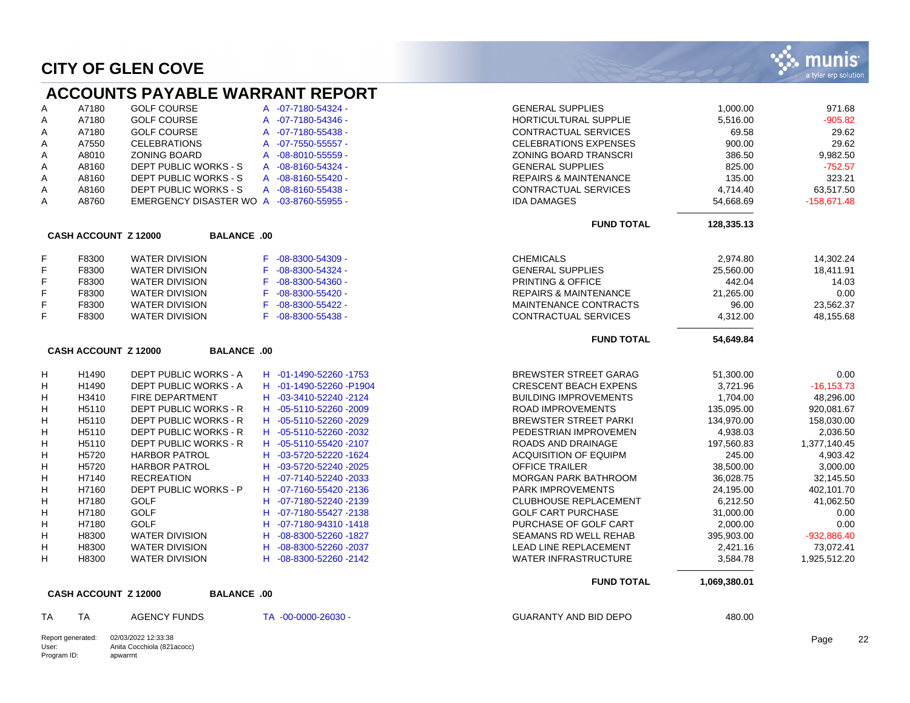Program ID:

apwarrnt

|       |                             | <b>ACCOUNTS PAYABLE WARRANT REPORT</b>            |                         |                                  |              |               |
|-------|-----------------------------|---------------------------------------------------|-------------------------|----------------------------------|--------------|---------------|
| Α     | A7180                       | <b>GOLF COURSE</b>                                | A -07-7180-54324 -      | <b>GENERAL SUPPLIES</b>          | 1,000.00     | 971.68        |
| A     | A7180                       | <b>GOLF COURSE</b>                                | A -07-7180-54346 -      | <b>HORTICULTURAL SUPPLIE</b>     | 5,516.00     | $-905.82$     |
| Α     | A7180                       | <b>GOLF COURSE</b>                                | A -07-7180-55438 -      | CONTRACTUAL SERVICES             | 69.58        | 29.62         |
| Α     | A7550                       | <b>CELEBRATIONS</b>                               | A -07-7550-55557 -      | <b>CELEBRATIONS EXPENSES</b>     | 900.00       | 29.62         |
| Α     | A8010                       | <b>ZONING BOARD</b>                               | A -08-8010-55559 -      | <b>ZONING BOARD TRANSCRI</b>     | 386.50       | 9.982.50      |
| Α     | A8160                       | DEPT PUBLIC WORKS - S                             | A -08-8160-54324 -      | <b>GENERAL SUPPLIES</b>          | 825.00       | $-752.57$     |
| Α     | A8160                       | DEPT PUBLIC WORKS - S                             | A -08-8160-55420 -      | <b>REPAIRS &amp; MAINTENANCE</b> | 135.00       | 323.21        |
| Α     | A8160                       | DEPT PUBLIC WORKS - S                             | A -08-8160-55438 -      | <b>CONTRACTUAL SERVICES</b>      | 4,714.40     | 63,517.50     |
| A     | A8760                       | EMERGENCY DISASTER WO A -03-8760-55955 -          |                         | <b>IDA DAMAGES</b>               | 54,668.69    | $-158,671.48$ |
|       |                             |                                                   |                         | <b>FUND TOTAL</b>                | 128,335.13   |               |
|       | <b>CASH ACCOUNT Z 12000</b> | <b>BALANCE .00</b>                                |                         |                                  |              |               |
| F     | F8300                       | <b>WATER DIVISION</b>                             | F -08-8300-54309 -      | <b>CHEMICALS</b>                 | 2,974.80     | 14,302.24     |
| F     | F8300                       | <b>WATER DIVISION</b>                             | F -08-8300-54324 -      | <b>GENERAL SUPPLIES</b>          | 25,560.00    | 18,411.91     |
| F     | F8300                       | <b>WATER DIVISION</b>                             | F -08-8300-54360 -      | PRINTING & OFFICE                | 442.04       | 14.03         |
| F     | F8300                       | <b>WATER DIVISION</b>                             | F -08-8300-55420 -      | <b>REPAIRS &amp; MAINTENANCE</b> | 21,265.00    | 0.00          |
| F     | F8300                       | <b>WATER DIVISION</b>                             | F -08-8300-55422 -      | MAINTENANCE CONTRACTS            | 96.00        | 23,562.37     |
| F     | F8300                       | <b>WATER DIVISION</b>                             | F -08-8300-55438 -      | <b>CONTRACTUAL SERVICES</b>      | 4,312.00     | 48,155.68     |
|       |                             |                                                   |                         | <b>FUND TOTAL</b>                | 54,649.84    |               |
|       | CASH ACCOUNT Z 12000        | <b>BALANCE .00</b>                                |                         |                                  |              |               |
| н     | H1490                       | DEPT PUBLIC WORKS - A                             | H -01-1490-52260 -1753  | <b>BREWSTER STREET GARAG</b>     | 51,300.00    | 0.00          |
| H     | H1490                       | DEPT PUBLIC WORKS - A                             | H -01-1490-52260 -P1904 | <b>CRESCENT BEACH EXPENS</b>     | 3,721.96     | $-16, 153.73$ |
| н     | H3410                       | <b>FIRE DEPARTMENT</b>                            | H -03-3410-52240 -2124  | <b>BUILDING IMPROVEMENTS</b>     | 1,704.00     | 48,296.00     |
| H     | H5110                       | DEPT PUBLIC WORKS - R                             | H -05-5110-52260 -2009  | <b>ROAD IMPROVEMENTS</b>         | 135,095.00   | 920,081.67    |
| н     | H5110                       | <b>DEPT PUBLIC WORKS - R</b>                      | H -05-5110-52260 -2029  | <b>BREWSTER STREET PARKI</b>     | 134,970.00   | 158.030.00    |
| H     | H5110                       | DEPT PUBLIC WORKS - R                             | H -05-5110-52260 -2032  | PEDESTRIAN IMPROVEMEN            | 4.938.03     | 2.036.50      |
| H     | H5110                       | DEPT PUBLIC WORKS - R                             | H -05-5110-55420 -2107  | ROADS AND DRAINAGE               | 197,560.83   | 1,377,140.45  |
| H     | H5720                       | <b>HARBOR PATROL</b>                              | H -03-5720-52220 -1624  | <b>ACQUISITION OF EQUIPM</b>     | 245.00       | 4,903.42      |
| H     | H5720                       | <b>HARBOR PATROL</b>                              | H -03-5720-52240 -2025  | <b>OFFICE TRAILER</b>            | 38,500.00    | 3,000.00      |
| н     | H7140                       | <b>RECREATION</b>                                 | H -07-7140-52240 -2033  | MORGAN PARK BATHROOM             | 36,028.75    | 32,145.50     |
| н     | H7160                       | DEPT PUBLIC WORKS - P                             | H -07-7160-55420 -2136  | PARK IMPROVEMENTS                | 24,195.00    | 402,101.70    |
| н     | H7180                       | <b>GOLF</b>                                       | H -07-7180-52240-2139   | <b>CLUBHOUSE REPLACEMENT</b>     | 6,212.50     | 41,062.50     |
| н     | H7180                       | <b>GOLF</b>                                       | H -07-7180-55427-2138   | <b>GOLF CART PURCHASE</b>        | 31,000.00    | 0.00          |
| н     | H7180                       | <b>GOLF</b>                                       | H -07-7180-94310-1418   | PURCHASE OF GOLF CART            | 2,000.00     | 0.00          |
| H     | H8300                       | <b>WATER DIVISION</b>                             | H -08-8300-52260 -1827  | <b>SEAMANS RD WELL REHAB</b>     | 395,903.00   | $-932,886.40$ |
| н     | H8300                       | <b>WATER DIVISION</b>                             | H -08-8300-52260 -2037  | LEAD LINE REPLACEMENT            | 2,421.16     | 73,072.41     |
| H     | H8300                       | <b>WATER DIVISION</b>                             | H -08-8300-52260 -2142  | <b>WATER INFRASTRUCTURE</b>      | 3,584.78     | 1,925,512.20  |
|       |                             |                                                   |                         | <b>FUND TOTAL</b>                | 1,069,380.01 |               |
|       | <b>CASH ACCOUNT Z 12000</b> | <b>BALANCE .00</b>                                |                         |                                  |              |               |
| TA    | <b>TA</b>                   | <b>AGENCY FUNDS</b>                               | TA -00-0000-26030 -     | <b>GUARANTY AND BID DEPO</b>     | 480.00       |               |
| User: | Report generated:           | 02/03/2022 12:33:38<br>Anita Cocchiola (821acocc) |                         |                                  |              | Page          |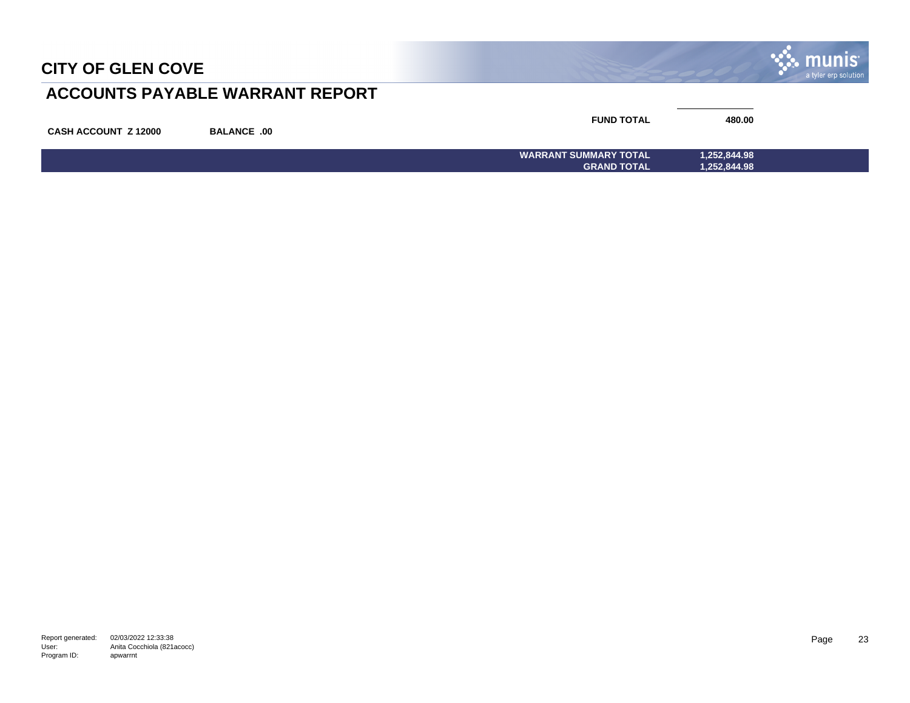

## **ACCOUNTS PAYABLE WARRANT REPORT**

| <b>CASH ACCOUNT Z 12000</b> | <b>BALANCE .00</b> | <b>FUND TOTAL</b>            | 480.00       |  |
|-----------------------------|--------------------|------------------------------|--------------|--|
|                             |                    | <b>WARRANT SUMMARY TOTAL</b> | 1,252,844.98 |  |
|                             |                    | <b>GRAND TOTAL</b>           | 1,252,844.98 |  |

Report generated: 02/03/2022 12:33:38 User: Program ID: Anita Cocchiola (821acocc) apwarrnt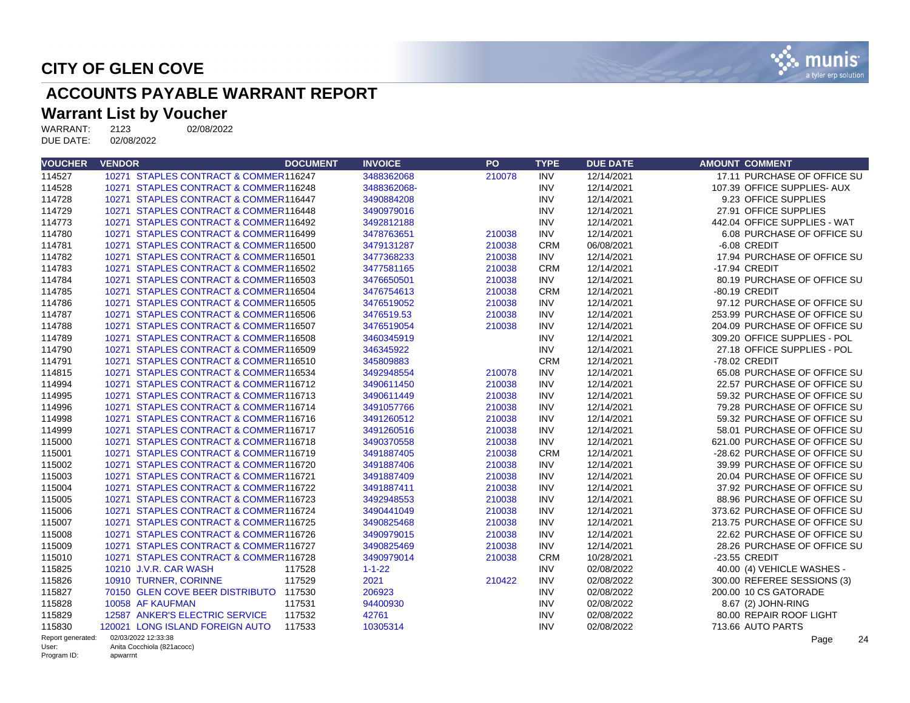

## **ACCOUNTS PAYABLE WARRANT REPORT**

# **Warrant List by Voucher**<br>WARRANT: 2123 02/08/2022

WARRANT: 2123<br>DUE DATE: 02/08/2022 DUE DATE:

Program ID:

apwarrnt

| <b>VOUCHER</b>             | <b>VENDOR</b> |                                                   | <b>DOCUMENT</b> | <b>INVOICE</b> | PO     | <b>TYPE</b> | <b>DUE DATE</b> | <b>AMOUNT COMMENT</b>        |
|----------------------------|---------------|---------------------------------------------------|-----------------|----------------|--------|-------------|-----------------|------------------------------|
| 114527                     |               | 10271 STAPLES CONTRACT & COMMER116247             |                 | 3488362068     | 210078 | <b>INV</b>  | 12/14/2021      | 17.11 PURCHASE OF OFFICE SU  |
| 114528                     |               | 10271 STAPLES CONTRACT & COMMER116248             |                 | 3488362068-    |        | <b>INV</b>  | 12/14/2021      | 107.39 OFFICE SUPPLIES- AUX  |
| 114728                     |               | 10271 STAPLES CONTRACT & COMMER116447             |                 | 3490884208     |        | <b>INV</b>  | 12/14/2021      | 9.23 OFFICE SUPPLIES         |
| 114729                     |               | 10271 STAPLES CONTRACT & COMMER116448             |                 | 3490979016     |        | <b>INV</b>  | 12/14/2021      | 27.91 OFFICE SUPPLIES        |
| 114773                     |               | 10271 STAPLES CONTRACT & COMMER116492             |                 | 3492812188     |        | <b>INV</b>  | 12/14/2021      | 442.04 OFFICE SUPPLIES - WAT |
| 114780                     |               | 10271 STAPLES CONTRACT & COMMER116499             |                 | 3478763651     | 210038 | <b>INV</b>  | 12/14/2021      | 6.08 PURCHASE OF OFFICE SU   |
| 114781                     |               | 10271 STAPLES CONTRACT & COMMER116500             |                 | 3479131287     | 210038 | <b>CRM</b>  | 06/08/2021      | -6.08 CREDIT                 |
| 114782                     |               | 10271 STAPLES CONTRACT & COMMER116501             |                 | 3477368233     | 210038 | <b>INV</b>  | 12/14/2021      | 17.94 PURCHASE OF OFFICE SU  |
| 114783                     |               | 10271 STAPLES CONTRACT & COMMER116502             |                 | 3477581165     | 210038 | <b>CRM</b>  | 12/14/2021      | -17.94 CREDIT                |
| 114784                     |               | 10271 STAPLES CONTRACT & COMMER116503             |                 | 3476650501     | 210038 | <b>INV</b>  | 12/14/2021      | 80.19 PURCHASE OF OFFICE SU  |
| 114785                     |               | 10271 STAPLES CONTRACT & COMMER116504             |                 | 3476754613     | 210038 | <b>CRM</b>  | 12/14/2021      | -80.19 CREDIT                |
| 114786                     |               | 10271 STAPLES CONTRACT & COMMER116505             |                 | 3476519052     | 210038 | <b>INV</b>  | 12/14/2021      | 97.12 PURCHASE OF OFFICE SU  |
| 114787                     |               | 10271 STAPLES CONTRACT & COMMER116506             |                 | 3476519.53     | 210038 | <b>INV</b>  | 12/14/2021      | 253.99 PURCHASE OF OFFICE SU |
| 114788                     |               | 10271 STAPLES CONTRACT & COMMER116507             |                 | 3476519054     | 210038 | <b>INV</b>  | 12/14/2021      | 204.09 PURCHASE OF OFFICE SU |
| 114789                     |               | 10271 STAPLES CONTRACT & COMMER116508             |                 | 3460345919     |        | <b>INV</b>  | 12/14/2021      | 309.20 OFFICE SUPPLIES - POL |
| 114790                     |               | 10271 STAPLES CONTRACT & COMMER116509             |                 | 346345922      |        | <b>INV</b>  | 12/14/2021      | 27.18 OFFICE SUPPLIES - POL  |
| 114791                     |               | 10271 STAPLES CONTRACT & COMMER116510             |                 | 345809883      |        | <b>CRM</b>  | 12/14/2021      | -78.02 CREDIT                |
| 114815                     |               | 10271 STAPLES CONTRACT & COMMER116534             |                 | 3492948554     | 210078 | <b>INV</b>  | 12/14/2021      | 65.08 PURCHASE OF OFFICE SU  |
| 114994                     |               | 10271 STAPLES CONTRACT & COMMER116712             |                 | 3490611450     | 210038 | <b>INV</b>  | 12/14/2021      | 22.57 PURCHASE OF OFFICE SU  |
| 114995                     |               | 10271 STAPLES CONTRACT & COMMER116713             |                 | 3490611449     | 210038 | <b>INV</b>  | 12/14/2021      | 59.32 PURCHASE OF OFFICE SU  |
| 114996                     |               | 10271 STAPLES CONTRACT & COMMER116714             |                 | 3491057766     | 210038 | <b>INV</b>  | 12/14/2021      | 79.28 PURCHASE OF OFFICE SU  |
| 114998                     |               | 10271 STAPLES CONTRACT & COMMER116716             |                 | 3491260512     | 210038 | <b>INV</b>  | 12/14/2021      | 59.32 PURCHASE OF OFFICE SU  |
| 114999                     |               | 10271 STAPLES CONTRACT & COMMER116717             |                 | 3491260516     | 210038 | <b>INV</b>  | 12/14/2021      | 58.01 PURCHASE OF OFFICE SU  |
| 115000                     |               | 10271 STAPLES CONTRACT & COMMER116718             |                 | 3490370558     | 210038 | <b>INV</b>  | 12/14/2021      | 621.00 PURCHASE OF OFFICE SU |
| 115001                     |               | 10271 STAPLES CONTRACT & COMMER116719             |                 | 3491887405     | 210038 | <b>CRM</b>  | 12/14/2021      | -28.62 PURCHASE OF OFFICE SU |
| 115002                     |               | 10271 STAPLES CONTRACT & COMMER116720             |                 | 3491887406     | 210038 | <b>INV</b>  | 12/14/2021      | 39.99 PURCHASE OF OFFICE SU  |
| 115003                     |               | 10271 STAPLES CONTRACT & COMMER116721             |                 | 3491887409     | 210038 | <b>INV</b>  | 12/14/2021      | 20.04 PURCHASE OF OFFICE SU  |
| 115004                     |               | 10271 STAPLES CONTRACT & COMMER116722             |                 | 3491887411     | 210038 | <b>INV</b>  | 12/14/2021      | 37.92 PURCHASE OF OFFICE SU  |
| 115005                     |               | 10271 STAPLES CONTRACT & COMMER116723             |                 | 3492948553     | 210038 | <b>INV</b>  | 12/14/2021      | 88.96 PURCHASE OF OFFICE SU  |
| 115006                     |               | 10271 STAPLES CONTRACT & COMMER116724             |                 | 3490441049     | 210038 | <b>INV</b>  | 12/14/2021      | 373.62 PURCHASE OF OFFICE SU |
| 115007                     |               | 10271 STAPLES CONTRACT & COMMER116725             |                 | 3490825468     | 210038 | <b>INV</b>  | 12/14/2021      | 213.75 PURCHASE OF OFFICE SU |
| 115008                     |               | 10271 STAPLES CONTRACT & COMMER116726             |                 | 3490979015     | 210038 | <b>INV</b>  | 12/14/2021      | 22.62 PURCHASE OF OFFICE SU  |
| 115009                     |               | 10271 STAPLES CONTRACT & COMMER116727             |                 | 3490825469     | 210038 | <b>INV</b>  | 12/14/2021      | 28.26 PURCHASE OF OFFICE SU  |
| 115010                     |               | 10271 STAPLES CONTRACT & COMMER116728             |                 | 3490979014     | 210038 | <b>CRM</b>  | 10/28/2021      | -23.55 CREDIT                |
| 115825                     |               | 10210 J.V.R. CAR WASH                             | 117528          | $1 - 1 - 22$   |        | <b>INV</b>  | 02/08/2022      | 40.00 (4) VEHICLE WASHES -   |
| 115826                     |               | 10910 TURNER, CORINNE                             | 117529          | 2021           | 210422 | <b>INV</b>  | 02/08/2022      | 300.00 REFEREE SESSIONS (3)  |
| 115827                     |               | 70150 GLEN COVE BEER DISTRIBUTO 117530            |                 | 206923         |        | <b>INV</b>  | 02/08/2022      | 200.00 10 CS GATORADE        |
| 115828                     |               | 10058 AF KAUFMAN                                  | 117531          | 94400930       |        | <b>INV</b>  | 02/08/2022      | 8.67 (2) JOHN-RING           |
| 115829                     |               | 12587 ANKER'S ELECTRIC SERVICE                    | 117532          | 42761          |        | <b>INV</b>  | 02/08/2022      | 80.00 REPAIR ROOF LIGHT      |
| 115830                     |               | 120021 LONG ISLAND FOREIGN AUTO                   | 117533          | 10305314       |        | <b>INV</b>  | 02/08/2022      | 713.66 AUTO PARTS            |
| Report generated:<br>User: |               | 02/03/2022 12:33:38<br>Anita Cocchiola (821acocc) |                 |                |        |             |                 | 24<br>Page                   |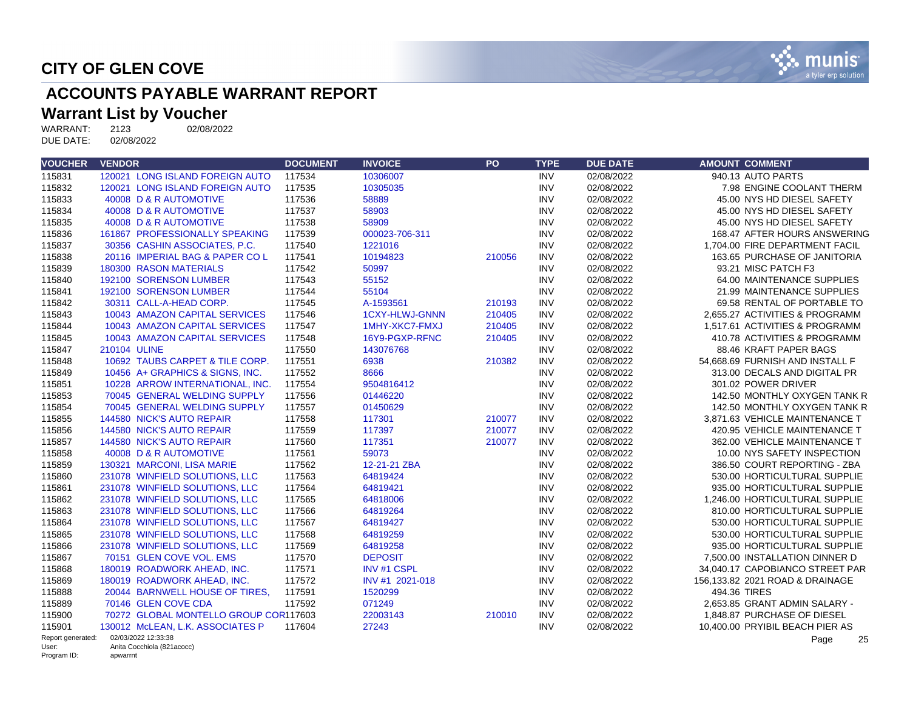

# **ACCOUNTS PAYABLE WARRANT REPORT**

# **Warrant List by Voucher**<br>WARRANT: 2123 02/08/2022

WARRANT: 2123<br>DUE DATE: 02/08/2022 DUE DATE:

| <b>VOUCHER</b>       | <b>VENDOR</b>                          | <b>DOCUMENT</b> | <b>INVOICE</b>        | PO     | <b>TYPE</b> | <b>DUE DATE</b> | <b>AMOUNT COMMENT</b>           |
|----------------------|----------------------------------------|-----------------|-----------------------|--------|-------------|-----------------|---------------------------------|
| 115831               | 120021 LONG ISLAND FOREIGN AUTO        | 117534          | 10306007              |        | <b>INV</b>  | 02/08/2022      | 940.13 AUTO PARTS               |
| 115832               | 120021 LONG ISLAND FOREIGN AUTO        | 117535          | 10305035              |        | <b>INV</b>  | 02/08/2022      | 7.98 ENGINE COOLANT THERM       |
| 115833               | 40008 D & R AUTOMOTIVE                 | 117536          | 58889                 |        | <b>INV</b>  | 02/08/2022      | 45.00 NYS HD DIESEL SAFETY      |
| 115834               | 40008 D & R AUTOMOTIVE                 | 117537          | 58903                 |        | <b>INV</b>  | 02/08/2022      | 45.00 NYS HD DIESEL SAFETY      |
| 115835               | 40008 D & R AUTOMOTIVE                 | 117538          | 58909                 |        | <b>INV</b>  | 02/08/2022      | 45.00 NYS HD DIESEL SAFETY      |
| 115836               | 161867 PROFESSIONALLY SPEAKING         | 117539          | 000023-706-311        |        | <b>INV</b>  | 02/08/2022      | 168.47 AFTER HOURS ANSWERING    |
| 115837               | 30356 CASHIN ASSOCIATES, P.C.          | 117540          | 1221016               |        | <b>INV</b>  | 02/08/2022      | 1.704.00 FIRE DEPARTMENT FACIL  |
| 115838               | 20116 IMPERIAL BAG & PAPER COL         | 117541          | 10194823              | 210056 | <b>INV</b>  | 02/08/2022      | 163.65 PURCHASE OF JANITORIA    |
| 115839               | 180300 RASON MATERIALS                 | 117542          | 50997                 |        | <b>INV</b>  | 02/08/2022      | 93.21 MISC PATCH F3             |
| 115840               | 192100 SORENSON LUMBER                 | 117543          | 55152                 |        | <b>INV</b>  | 02/08/2022      | 64.00 MAINTENANCE SUPPLIES      |
| 115841               | 192100 SORENSON LUMBER                 | 117544          | 55104                 |        | <b>INV</b>  | 02/08/2022      | 21.99 MAINTENANCE SUPPLIES      |
| 115842               | 30311 CALL-A-HEAD CORP.                | 117545          | A-1593561             | 210193 | <b>INV</b>  | 02/08/2022      | 69.58 RENTAL OF PORTABLE TO     |
| 115843               | 10043 AMAZON CAPITAL SERVICES          | 117546          | <b>1CXY-HLWJ-GNNN</b> | 210405 | <b>INV</b>  | 02/08/2022      | 2.655.27 ACTIVITIES & PROGRAMM  |
| 115844               | 10043 AMAZON CAPITAL SERVICES          | 117547          | 1MHY-XKC7-FMXJ        | 210405 | <b>INV</b>  | 02/08/2022      | 1.517.61 ACTIVITIES & PROGRAMM  |
| 115845               | 10043 AMAZON CAPITAL SERVICES          | 117548          | 16Y9-PGXP-RFNC        | 210405 | <b>INV</b>  | 02/08/2022      | 410.78 ACTIVITIES & PROGRAMM    |
| 115847               | 210104 ULINE                           | 117550          | 143076768             |        | <b>INV</b>  | 02/08/2022      | 88.46 KRAFT PAPER BAGS          |
| 115848               | 10692 TAUBS CARPET & TILE CORP.        | 117551          | 6938                  | 210382 | <b>INV</b>  | 02/08/2022      | 54,668.69 FURNISH AND INSTALL F |
| 115849               | 10456 A+ GRAPHICS & SIGNS. INC.        | 117552          | 8666                  |        | <b>INV</b>  | 02/08/2022      | 313.00 DECALS AND DIGITAL PR    |
| 115851               | 10228 ARROW INTERNATIONAL, INC.        | 117554          | 9504816412            |        | <b>INV</b>  | 02/08/2022      | 301.02 POWER DRIVER             |
| 115853               | 70045 GENERAL WELDING SUPPLY           | 117556          | 01446220              |        | <b>INV</b>  | 02/08/2022      | 142.50 MONTHLY OXYGEN TANK R    |
| 115854               | 70045 GENERAL WELDING SUPPLY           | 117557          | 01450629              |        | <b>INV</b>  | 02/08/2022      | 142.50 MONTHLY OXYGEN TANK R    |
| 115855               | 144580 NICK'S AUTO REPAIR              | 117558          | 117301                | 210077 | <b>INV</b>  | 02/08/2022      | 3.871.63 VEHICLE MAINTENANCE T  |
| 115856               | 144580 NICK'S AUTO REPAIR              | 117559          | 117397                | 210077 | <b>INV</b>  | 02/08/2022      | 420.95 VEHICLE MAINTENANCE T    |
| 115857               | 144580 NICK'S AUTO REPAIR              | 117560          | 117351                | 210077 | <b>INV</b>  | 02/08/2022      | 362.00 VEHICLE MAINTENANCE T    |
| 115858               | 40008 D & R AUTOMOTIVE                 | 117561          | 59073                 |        | <b>INV</b>  | 02/08/2022      | 10.00 NYS SAFETY INSPECTION     |
| 115859               | 130321 MARCONI, LISA MARIE             | 117562          | 12-21-21 ZBA          |        | <b>INV</b>  | 02/08/2022      | 386.50 COURT REPORTING - ZBA    |
| 115860               | 231078 WINFIELD SOLUTIONS, LLC         | 117563          | 64819424              |        | <b>INV</b>  | 02/08/2022      | 530.00 HORTICULTURAL SUPPLIE    |
| 115861               | 231078 WINFIELD SOLUTIONS, LLC         | 117564          | 64819421              |        | <b>INV</b>  | 02/08/2022      | 935.00 HORTICULTURAL SUPPLIE    |
| 115862               | 231078 WINFIELD SOLUTIONS, LLC         | 117565          | 64818006              |        | <b>INV</b>  | 02/08/2022      | 1.246.00 HORTICULTURAL SUPPLIE  |
| 115863               | 231078 WINFIELD SOLUTIONS, LLC         | 117566          | 64819264              |        | <b>INV</b>  | 02/08/2022      | 810.00 HORTICULTURAL SUPPLIE    |
| 115864               | 231078 WINFIELD SOLUTIONS, LLC         | 117567          | 64819427              |        | <b>INV</b>  | 02/08/2022      | 530.00 HORTICULTURAL SUPPLIE    |
| 115865               | 231078 WINFIELD SOLUTIONS, LLC         | 117568          | 64819259              |        | <b>INV</b>  | 02/08/2022      | 530.00 HORTICULTURAL SUPPLIE    |
| 115866               | 231078 WINFIELD SOLUTIONS, LLC         | 117569          | 64819258              |        | <b>INV</b>  | 02/08/2022      | 935.00 HORTICULTURAL SUPPLIE    |
| 115867               | 70151 GLEN COVE VOL. EMS               | 117570          | <b>DEPOSIT</b>        |        | <b>INV</b>  | 02/08/2022      | 7.500.00 INSTALLATION DINNER D  |
| 115868               | 180019 ROADWORK AHEAD, INC.            | 117571          | <b>INV #1 CSPL</b>    |        | <b>INV</b>  | 02/08/2022      | 34,040.17 CAPOBIANCO STREET PAR |
| 115869               | 180019 ROADWORK AHEAD, INC.            | 117572          | INV #1 2021-018       |        | <b>INV</b>  | 02/08/2022      | 156,133.82 2021 ROAD & DRAINAGE |
| 115888               | 20044 BARNWELL HOUSE OF TIRES,         | 117591          | 1520299               |        | <b>INV</b>  | 02/08/2022      | 494.36 TIRES                    |
| 115889               | 70146 GLEN COVE CDA                    | 117592          | 071249                |        | <b>INV</b>  | 02/08/2022      | 2.653.85 GRANT ADMIN SALARY -   |
| 115900               | 70272 GLOBAL MONTELLO GROUP COR117603  |                 | 22003143              | 210010 | <b>INV</b>  | 02/08/2022      | 1.848.87 PURCHASE OF DIESEL     |
| 115901               | 130012 McLEAN, L.K. ASSOCIATES P       | 117604          | 27243                 |        | <b>INV</b>  | 02/08/2022      | 10,400.00 PRYIBIL BEACH PIER AS |
| Report generated:    | 02/03/2022 12:33:38                    |                 |                       |        |             |                 | Page<br>25                      |
| User:<br>Program ID: | Anita Cocchiola (821acocc)<br>apwarrnt |                 |                       |        |             |                 |                                 |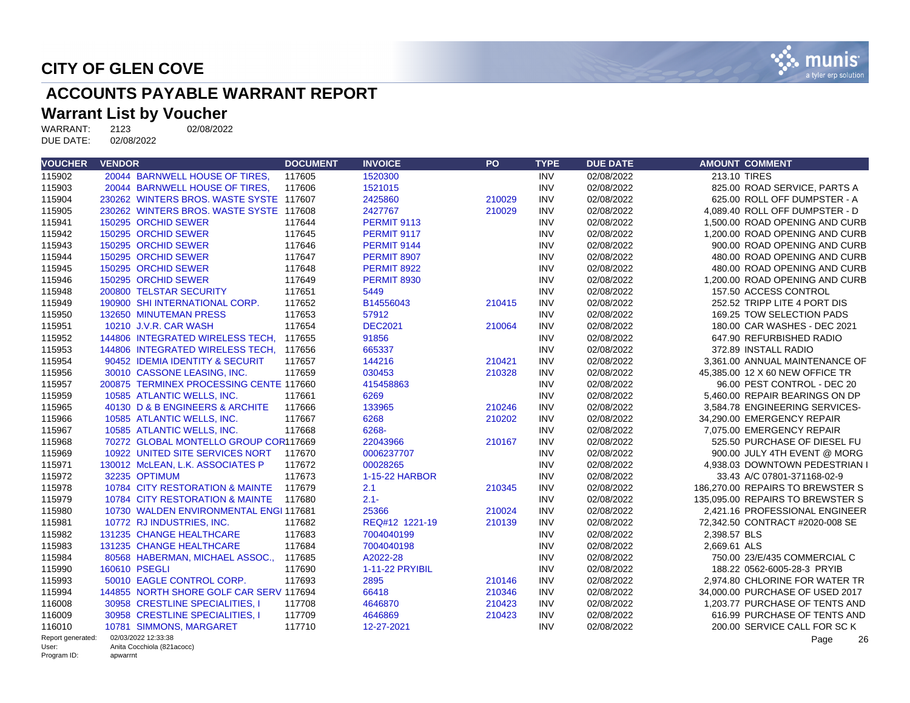

# **ACCOUNTS PAYABLE WARRANT REPORT**

# **Warrant List by Voucher**<br>WARRANT: 2123 02/08/2022

WARRANT: 2123<br>DUE DATE: 02/08/2022 DUE DATE:

| <b>VOUCHER</b>       | <b>VENDOR</b>                           | <b>DOCUMENT</b> | <b>INVOICE</b>     | PO     | <b>TYPE</b> | <b>DUE DATE</b> | <b>AMOUNT COMMENT</b>            |
|----------------------|-----------------------------------------|-----------------|--------------------|--------|-------------|-----------------|----------------------------------|
| 115902               | 20044 BARNWELL HOUSE OF TIRES,          | 117605          | 1520300            |        | <b>INV</b>  | 02/08/2022      | 213.10 TIRES                     |
| 115903               | 20044 BARNWELL HOUSE OF TIRES.          | 117606          | 1521015            |        | <b>INV</b>  | 02/08/2022      | 825.00 ROAD SERVICE, PARTS A     |
| 115904               | 230262 WINTERS BROS, WASTE SYSTE 117607 |                 | 2425860            | 210029 | <b>INV</b>  | 02/08/2022      | 625.00 ROLL OFF DUMPSTER - A     |
| 115905               | 230262 WINTERS BROS. WASTE SYSTE 117608 |                 | 2427767            | 210029 | <b>INV</b>  | 02/08/2022      | 4,089.40 ROLL OFF DUMPSTER - D   |
| 115941               | 150295 ORCHID SEWER                     | 117644          | <b>PERMIT 9113</b> |        | <b>INV</b>  | 02/08/2022      | 1,500.00 ROAD OPENING AND CURB   |
| 115942               | 150295 ORCHID SEWER                     | 117645          | <b>PERMIT 9117</b> |        | <b>INV</b>  | 02/08/2022      | 1.200.00 ROAD OPENING AND CURB   |
| 115943               | 150295 ORCHID SEWER                     | 117646          | <b>PERMIT 9144</b> |        | <b>INV</b>  | 02/08/2022      | 900.00 ROAD OPENING AND CURB     |
| 115944               | 150295 ORCHID SEWER                     | 117647          | <b>PERMIT 8907</b> |        | <b>INV</b>  | 02/08/2022      | 480.00 ROAD OPENING AND CURB     |
| 115945               | 150295 ORCHID SEWER                     | 117648          | <b>PERMIT 8922</b> |        | <b>INV</b>  | 02/08/2022      | 480.00 ROAD OPENING AND CURB     |
| 115946               | 150295 ORCHID SEWER                     | 117649          | <b>PERMIT 8930</b> |        | <b>INV</b>  | 02/08/2022      | 1,200.00 ROAD OPENING AND CURB   |
| 115948               | 200800 TELSTAR SECURITY                 | 117651          | 5449               |        | <b>INV</b>  | 02/08/2022      | 157.50 ACCESS CONTROL            |
| 115949               | 190900 SHI INTERNATIONAL CORP.          | 117652          | B14556043          | 210415 | <b>INV</b>  | 02/08/2022      | 252.52 TRIPP LITE 4 PORT DIS     |
| 115950               | 132650 MINUTEMAN PRESS                  | 117653          | 57912              |        | <b>INV</b>  | 02/08/2022      | 169.25 TOW SELECTION PADS        |
| 115951               | 10210 J.V.R. CAR WASH                   | 117654          | <b>DEC2021</b>     | 210064 | <b>INV</b>  | 02/08/2022      | 180.00 CAR WASHES - DEC 2021     |
| 115952               | 144806 INTEGRATED WIRELESS TECH, 117655 |                 | 91856              |        | <b>INV</b>  | 02/08/2022      | 647.90 REFURBISHED RADIO         |
| 115953               | 144806 INTEGRATED WIRELESS TECH, 117656 |                 | 665337             |        | <b>INV</b>  | 02/08/2022      | 372.89 INSTALL RADIO             |
| 115954               | 90452 IDEMIA IDENTITY & SECURIT         | 117657          | 144216             | 210421 | <b>INV</b>  | 02/08/2022      | 3,361.00 ANNUAL MAINTENANCE OF   |
| 115956               | 30010 CASSONE LEASING, INC.             | 117659          | 030453             | 210328 | <b>INV</b>  | 02/08/2022      | 45.385.00 12 X 60 NEW OFFICE TR  |
| 115957               | 200875 TERMINEX PROCESSING CENTE 117660 |                 | 415458863          |        | <b>INV</b>  | 02/08/2022      | 96.00 PEST CONTROL - DEC 20      |
| 115959               | 10585 ATLANTIC WELLS, INC.              | 117661          | 6269               |        | <b>INV</b>  | 02/08/2022      | 5,460.00 REPAIR BEARINGS ON DP   |
| 115965               | 40130 D & B ENGINEERS & ARCHITE         | 117666          | 133965             | 210246 | <b>INV</b>  | 02/08/2022      | 3,584.78 ENGINEERING SERVICES-   |
| 115966               | 10585 ATLANTIC WELLS, INC.              | 117667          | 6268               | 210202 | <b>INV</b>  | 02/08/2022      | 34.290.00 EMERGENCY REPAIR       |
| 115967               | 10585 ATLANTIC WELLS, INC.              | 117668          | 6268-              |        | <b>INV</b>  | 02/08/2022      | 7,075.00 EMERGENCY REPAIR        |
| 115968               | 70272 GLOBAL MONTELLO GROUP COR117669   |                 | 22043966           | 210167 | <b>INV</b>  | 02/08/2022      | 525.50 PURCHASE OF DIESEL FU     |
| 115969               | 10922 UNITED SITE SERVICES NORT         | 117670          | 0006237707         |        | <b>INV</b>  | 02/08/2022      | 900.00 JULY 4TH EVENT @ MORG     |
| 115971               | 130012 McLEAN, L.K. ASSOCIATES P        | 117672          | 00028265           |        | <b>INV</b>  | 02/08/2022      | 4,938.03 DOWNTOWN PEDESTRIAN I   |
| 115972               | 32235 OPTIMUM                           | 117673          | 1-15-22 HARBOR     |        | <b>INV</b>  | 02/08/2022      | 33.43 A/C 07801-371168-02-9      |
| 115978               | 10784 CITY RESTORATION & MAINTE         | 117679          | 2.1                | 210345 | <b>INV</b>  | 02/08/2022      | 186,270,00 REPAIRS TO BREWSTER S |
| 115979               | 10784 CITY RESTORATION & MAINTE         | 117680          | $2.1 -$            |        | <b>INV</b>  | 02/08/2022      | 135,095,00 REPAIRS TO BREWSTER S |
| 115980               | 10730 WALDEN ENVIRONMENTAL ENGI 117681  |                 | 25366              | 210024 | <b>INV</b>  | 02/08/2022      | 2,421.16 PROFESSIONAL ENGINEER   |
| 115981               | 10772 RJ INDUSTRIES, INC.               | 117682          | REQ#12 1221-19     | 210139 | <b>INV</b>  | 02/08/2022      | 72,342.50 CONTRACT #2020-008 SE  |
| 115982               | 131235 CHANGE HEALTHCARE                | 117683          | 7004040199         |        | <b>INV</b>  | 02/08/2022      | 2,398.57 BLS                     |
| 115983               | 131235 CHANGE HEALTHCARE                | 117684          | 7004040198         |        | <b>INV</b>  | 02/08/2022      | 2,669.61 ALS                     |
| 115984               | 80568 HABERMAN, MICHAEL ASSOC.,         | 117685          | A2022-28           |        | <b>INV</b>  | 02/08/2022      | 750.00 23/E/435 COMMERCIAL C     |
| 115990               | 160610 PSEGLI                           | 117690          | 1-11-22 PRYIBIL    |        | <b>INV</b>  | 02/08/2022      | 188.22 0562-6005-28-3 PRYIB      |
| 115993               | 50010 EAGLE CONTROL CORP.               | 117693          | 2895               | 210146 | <b>INV</b>  | 02/08/2022      | 2,974.80 CHLORINE FOR WATER TR   |
| 115994               | 144855 NORTH SHORE GOLF CAR SERV 117694 |                 | 66418              | 210346 | <b>INV</b>  | 02/08/2022      | 34,000.00 PURCHASE OF USED 2017  |
| 116008               | 30958 CRESTLINE SPECIALITIES. I         | 117708          | 4646870            | 210423 | <b>INV</b>  | 02/08/2022      | 1.203.77 PURCHASE OF TENTS AND   |
| 116009               | 30958 CRESTLINE SPECIALITIES. I         | 117709          | 4646869            | 210423 | <b>INV</b>  | 02/08/2022      | 616.99 PURCHASE OF TENTS AND     |
| 116010               | 10781 SIMMONS, MARGARET                 | 117710          | 12-27-2021         |        | <b>INV</b>  | 02/08/2022      | 200.00 SERVICE CALL FOR SC K     |
| Report generated:    | 02/03/2022 12:33:38                     |                 |                    |        |             |                 | 26<br>Page                       |
| User:<br>Program ID: | Anita Cocchiola (821acocc)<br>apwarrnt  |                 |                    |        |             |                 |                                  |